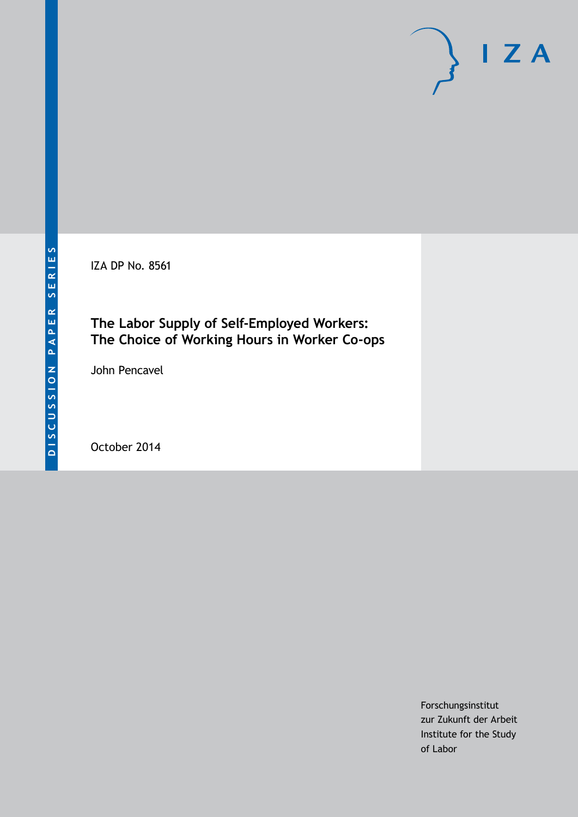IZA DP No. 8561

## **The Labor Supply of Self-Employed Workers: The Choice of Working Hours in Worker Co-ops**

John Pencavel

October 2014

Forschungsinstitut zur Zukunft der Arbeit Institute for the Study of Labor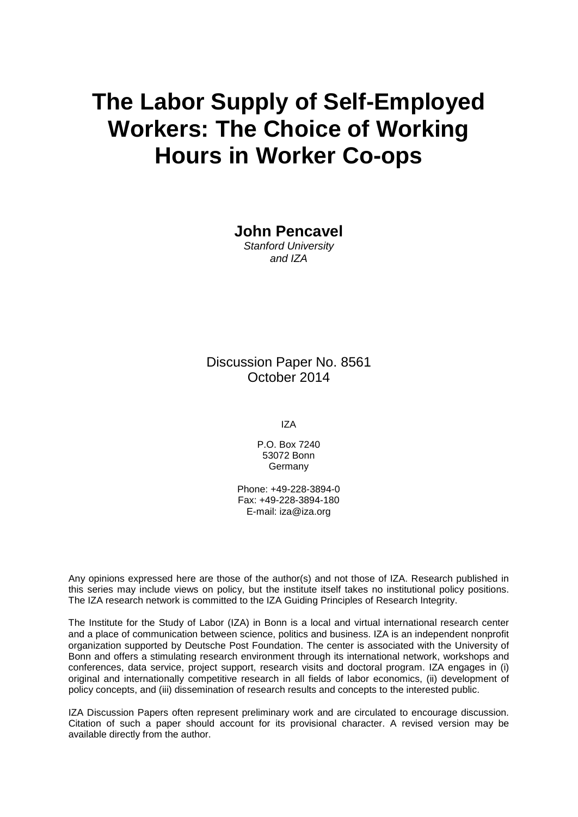# **The Labor Supply of Self-Employed Workers: The Choice of Working Hours in Worker Co-ops**

**John Pencavel**

*Stanford University and IZA*

Discussion Paper No. 8561 October 2014

IZA

P.O. Box 7240 53072 Bonn Germany

Phone: +49-228-3894-0 Fax: +49-228-3894-180 E-mail: [iza@iza.org](mailto:iza@iza.org)

Any opinions expressed here are those of the author(s) and not those of IZA. Research published in this series may include views on policy, but the institute itself takes no institutional policy positions. The IZA research network is committed to the IZA Guiding Principles of Research Integrity.

The Institute for the Study of Labor (IZA) in Bonn is a local and virtual international research center and a place of communication between science, politics and business. IZA is an independent nonprofit organization supported by Deutsche Post Foundation. The center is associated with the University of Bonn and offers a stimulating research environment through its international network, workshops and conferences, data service, project support, research visits and doctoral program. IZA engages in (i) original and internationally competitive research in all fields of labor economics, (ii) development of policy concepts, and (iii) dissemination of research results and concepts to the interested public.

<span id="page-1-0"></span>IZA Discussion Papers often represent preliminary work and are circulated to encourage discussion. Citation of such a paper should account for its provisional character. A revised version may be available directly from the author.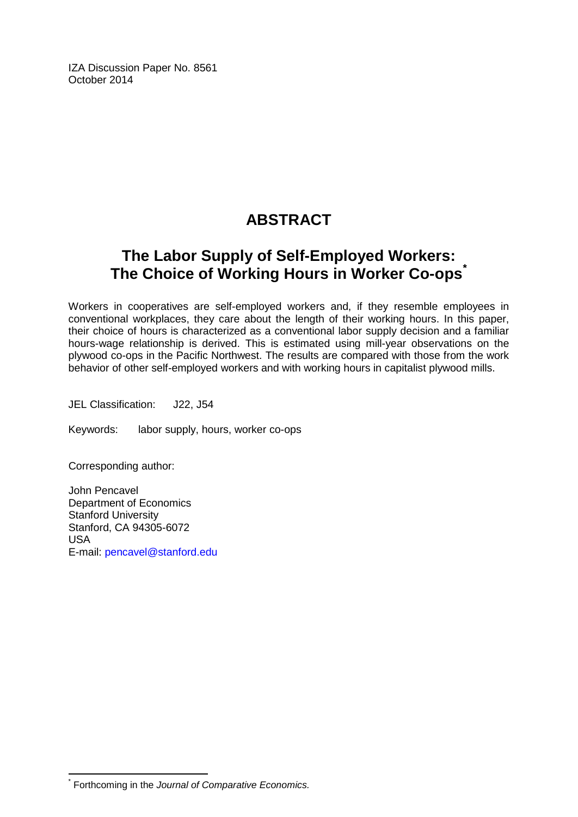IZA Discussion Paper No. 8561 October 2014

## **ABSTRACT**

## **The Labor Supply of Self-Employed Workers: The Choice of Working Hours in Worker Co-ops[\\*](#page-1-0)**

Workers in cooperatives are self-employed workers and, if they resemble employees in conventional workplaces, they care about the length of their working hours. In this paper, their choice of hours is characterized as a conventional labor supply decision and a familiar hours-wage relationship is derived. This is estimated using mill-year observations on the plywood co-ops in the Pacific Northwest. The results are compared with those from the work behavior of other self-employed workers and with working hours in capitalist plywood mills.

JEL Classification: J22, J54

Keywords: labor supply, hours, worker co-ops

Corresponding author:

John Pencavel Department of Economics Stanford University Stanford, CA 94305-6072 USA E-mail: [pencavel@stanford.edu](mailto:pencavel@stanford.edu)

\* Forthcoming in the *Journal of Comparative Economics.*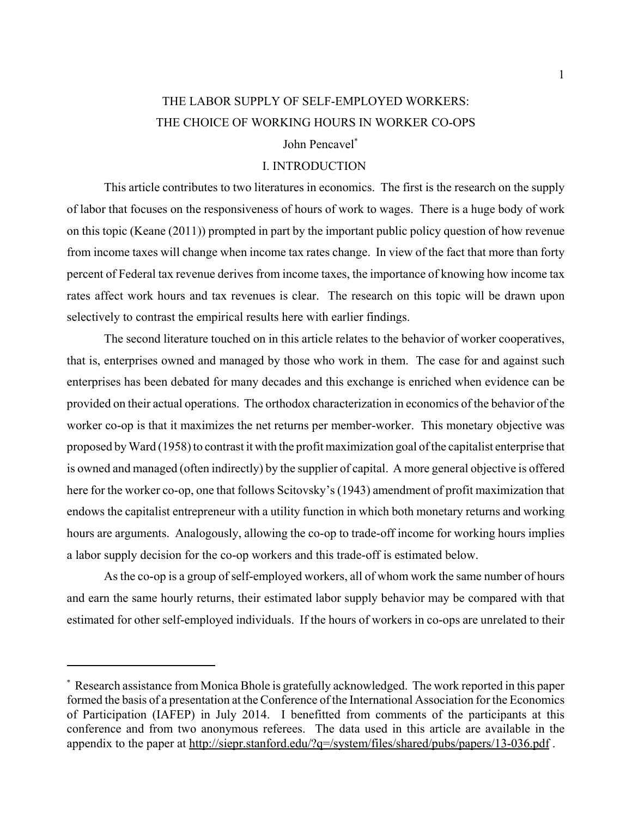## THE LABOR SUPPLY OF SELF-EMPLOYED WORKERS: THE CHOICE OF WORKING HOURS IN WORKER CO-OPS

John Pencavel\*

#### I. INTRODUCTION

This article contributes to two literatures in economics. The first is the research on the supply of labor that focuses on the responsiveness of hours of work to wages. There is a huge body of work on this topic (Keane (2011)) prompted in part by the important public policy question of how revenue from income taxes will change when income tax rates change. In view of the fact that more than forty percent of Federal tax revenue derives from income taxes, the importance of knowing how income tax rates affect work hours and tax revenues is clear. The research on this topic will be drawn upon selectively to contrast the empirical results here with earlier findings.

The second literature touched on in this article relates to the behavior of worker cooperatives, that is, enterprises owned and managed by those who work in them. The case for and against such enterprises has been debated for many decades and this exchange is enriched when evidence can be provided on their actual operations. The orthodox characterization in economics of the behavior of the worker co-op is that it maximizes the net returns per member-worker. This monetary objective was proposed by Ward (1958) to contrast it with the profit maximization goal of the capitalist enterprise that is owned and managed (often indirectly) by the supplier of capital. A more general objective is offered here for the worker co-op, one that follows Scitovsky's (1943) amendment of profit maximization that endows the capitalist entrepreneur with a utility function in which both monetary returns and working hours are arguments. Analogously, allowing the co-op to trade-off income for working hours implies a labor supply decision for the co-op workers and this trade-off is estimated below.

As the co-op is a group of self-employed workers, all of whom work the same number of hours and earn the same hourly returns, their estimated labor supply behavior may be compared with that estimated for other self-employed individuals. If the hours of workers in co-ops are unrelated to their

<sup>\*</sup> Research assistance from Monica Bhole is gratefully acknowledged. The work reported in this paper formed the basis of a presentation at the Conference of the International Association for the Economics of Participation (IAFEP) in July 2014. I benefitted from comments of the participants at this conference and from two anonymous referees. The data used in this article are available in the appendix to the paper at http://siepr.stanford.edu/?q=/system/files/shared/pubs/papers/13-036.pdf.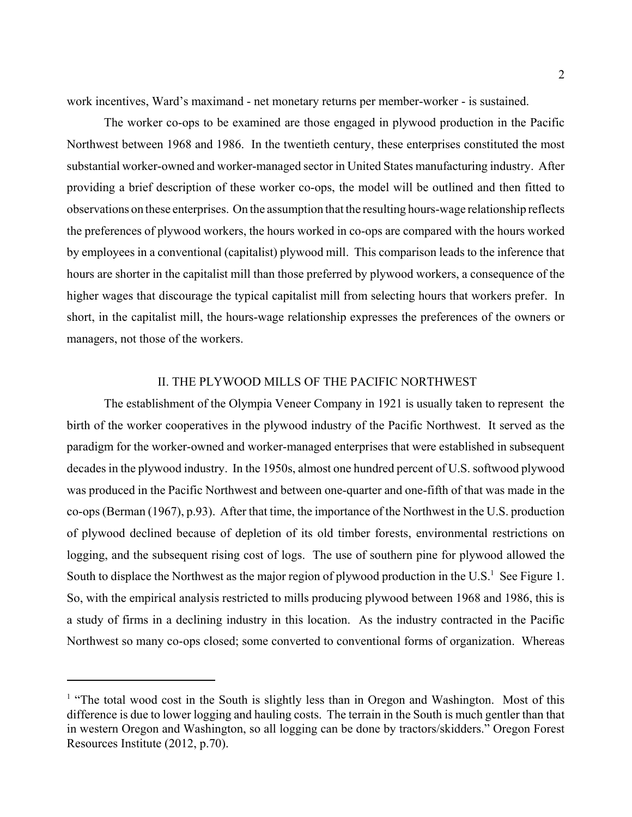work incentives, Ward's maximand - net monetary returns per member-worker - is sustained.

The worker co-ops to be examined are those engaged in plywood production in the Pacific Northwest between 1968 and 1986. In the twentieth century, these enterprises constituted the most substantial worker-owned and worker-managed sector in United States manufacturing industry. After providing a brief description of these worker co-ops, the model will be outlined and then fitted to observations on these enterprises. On the assumption that the resulting hours-wage relationship reflects the preferences of plywood workers, the hours worked in co-ops are compared with the hours worked by employees in a conventional (capitalist) plywood mill. This comparison leads to the inference that hours are shorter in the capitalist mill than those preferred by plywood workers, a consequence of the higher wages that discourage the typical capitalist mill from selecting hours that workers prefer. In short, in the capitalist mill, the hours-wage relationship expresses the preferences of the owners or managers, not those of the workers.

#### II. THE PLYWOOD MILLS OF THE PACIFIC NORTHWEST

The establishment of the Olympia Veneer Company in 1921 is usually taken to represent the birth of the worker cooperatives in the plywood industry of the Pacific Northwest. It served as the paradigm for the worker-owned and worker-managed enterprises that were established in subsequent decades in the plywood industry. In the 1950s, almost one hundred percent of U.S. softwood plywood was produced in the Pacific Northwest and between one-quarter and one-fifth of that was made in the co-ops (Berman (1967), p.93). After that time, the importance of the Northwest in the U.S. production of plywood declined because of depletion of its old timber forests, environmental restrictions on logging, and the subsequent rising cost of logs. The use of southern pine for plywood allowed the South to displace the Northwest as the major region of plywood production in the U.S.<sup>1</sup> See Figure 1. So, with the empirical analysis restricted to mills producing plywood between 1968 and 1986, this is a study of firms in a declining industry in this location. As the industry contracted in the Pacific Northwest so many co-ops closed; some converted to conventional forms of organization. Whereas

<sup>&</sup>lt;sup>1</sup> "The total wood cost in the South is slightly less than in Oregon and Washington. Most of this difference is due to lower logging and hauling costs. The terrain in the South is much gentler than that in western Oregon and Washington, so all logging can be done by tractors/skidders." Oregon Forest Resources Institute (2012, p.70).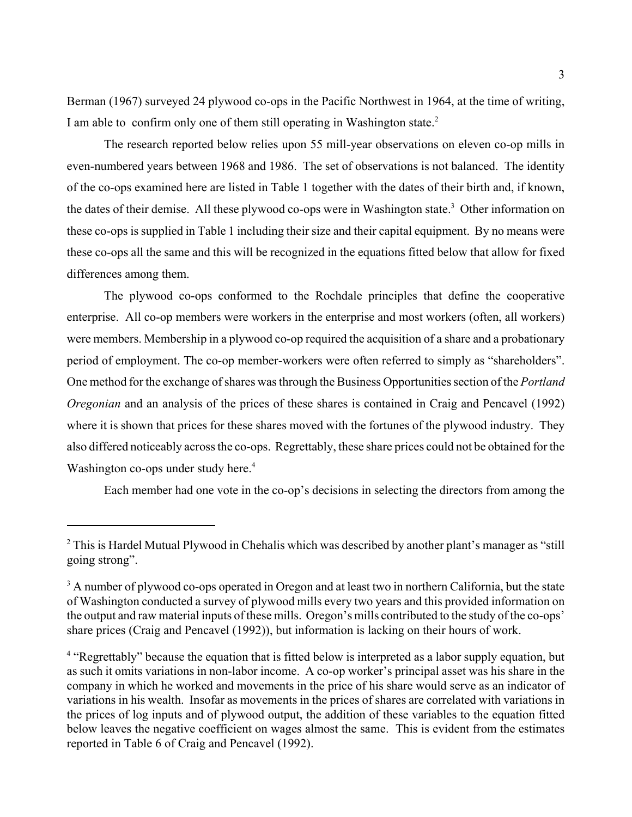Berman (1967) surveyed 24 plywood co-ops in the Pacific Northwest in 1964, at the time of writing, I am able to confirm only one of them still operating in Washington state.<sup>2</sup>

The research reported below relies upon 55 mill-year observations on eleven co-op mills in even-numbered years between 1968 and 1986. The set of observations is not balanced. The identity of the co-ops examined here are listed in Table 1 together with the dates of their birth and, if known, the dates of their demise. All these plywood co-ops were in Washington state.<sup>3</sup> Other information on these co-ops is supplied in Table 1 including their size and their capital equipment. By no means were these co-ops all the same and this will be recognized in the equations fitted below that allow for fixed differences among them.

The plywood co-ops conformed to the Rochdale principles that define the cooperative enterprise. All co-op members were workers in the enterprise and most workers (often, all workers) were members. Membership in a plywood co-op required the acquisition of a share and a probationary period of employment. The co-op member-workers were often referred to simply as "shareholders". One method for the exchange of shares was through the Business Opportunities section of the *Portland Oregonian* and an analysis of the prices of these shares is contained in Craig and Pencavel (1992) where it is shown that prices for these shares moved with the fortunes of the plywood industry. They also differed noticeably across the co-ops. Regrettably, these share prices could not be obtained for the Washington co-ops under study here.<sup>4</sup>

Each member had one vote in the co-op's decisions in selecting the directors from among the

<sup>&</sup>lt;sup>2</sup> This is Hardel Mutual Plywood in Chehalis which was described by another plant's manager as "still going strong".

<sup>&</sup>lt;sup>3</sup> A number of plywood co-ops operated in Oregon and at least two in northern California, but the state of Washington conducted a survey of plywood mills every two years and this provided information on the output and raw material inputs of these mills. Oregon's mills contributed to the study of the co-ops' share prices (Craig and Pencavel (1992)), but information is lacking on their hours of work.

<sup>&</sup>lt;sup>4</sup> "Regrettably" because the equation that is fitted below is interpreted as a labor supply equation, but as such it omits variations in non-labor income. A co-op worker's principal asset was his share in the company in which he worked and movements in the price of his share would serve as an indicator of variations in his wealth. Insofar as movements in the prices of shares are correlated with variations in the prices of log inputs and of plywood output, the addition of these variables to the equation fitted below leaves the negative coefficient on wages almost the same. This is evident from the estimates reported in Table 6 of Craig and Pencavel (1992).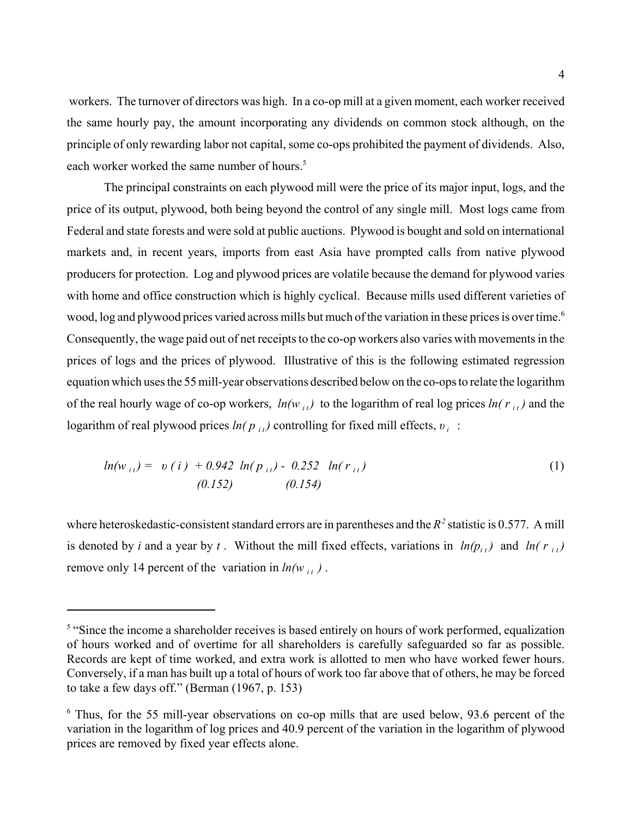workers. The turnover of directors was high. In a co-op mill at a given moment, each worker received the same hourly pay, the amount incorporating any dividends on common stock although, on the principle of only rewarding labor not capital, some co-ops prohibited the payment of dividends. Also, each worker worked the same number of hours.<sup>5</sup>

The principal constraints on each plywood mill were the price of its major input, logs, and the price of its output, plywood, both being beyond the control of any single mill. Most logs came from Federal and state forests and were sold at public auctions. Plywood is bought and sold on international markets and, in recent years, imports from east Asia have prompted calls from native plywood producers for protection. Log and plywood prices are volatile because the demand for plywood varies with home and office construction which is highly cyclical. Because mills used different varieties of wood, log and plywood prices varied across mills but much of the variation in these prices is over time.<sup>6</sup> Consequently, the wage paid out of net receipts to the co-op workers also varies with movements in the prices of logs and the prices of plywood. Illustrative of this is the following estimated regression equation which uses the 55 mill-year observations described below on the co-ops to relate the logarithm of the real hourly wage of co-op workers,  $ln(w_i)$  to the logarithm of real log prices  $ln(r_i)$  and the logarithm of real plywood prices *ln( p<sub>it</sub>)* controlling for fixed mill effects, *v<sub>i</sub>* :

$$
ln(w_{it}) = v(i) + 0.942 ln(p_{it}) - 0.252 ln(r_{it})
$$
  
(0.152) (0.154)

where heteroskedastic-consistent standard errors are in parentheses and the  $R<sup>2</sup>$  statistic is 0.577. A mill is denoted by *i* and a year by *t*. Without the mill fixed effects, variations in  $ln(p_{i})$  and  $ln(r_{i})$ remove only 14 percent of the variation in  $ln(w_{it})$ .

<sup>&</sup>lt;sup>5</sup> "Since the income a shareholder receives is based entirely on hours of work performed, equalization of hours worked and of overtime for all shareholders is carefully safeguarded so far as possible. Records are kept of time worked, and extra work is allotted to men who have worked fewer hours. Conversely, if a man has built up a total of hours of work too far above that of others, he may be forced to take a few days off." (Berman (1967, p. 153)

<sup>&</sup>lt;sup>6</sup> Thus, for the 55 mill-year observations on co-op mills that are used below, 93.6 percent of the variation in the logarithm of log prices and 40.9 percent of the variation in the logarithm of plywood prices are removed by fixed year effects alone.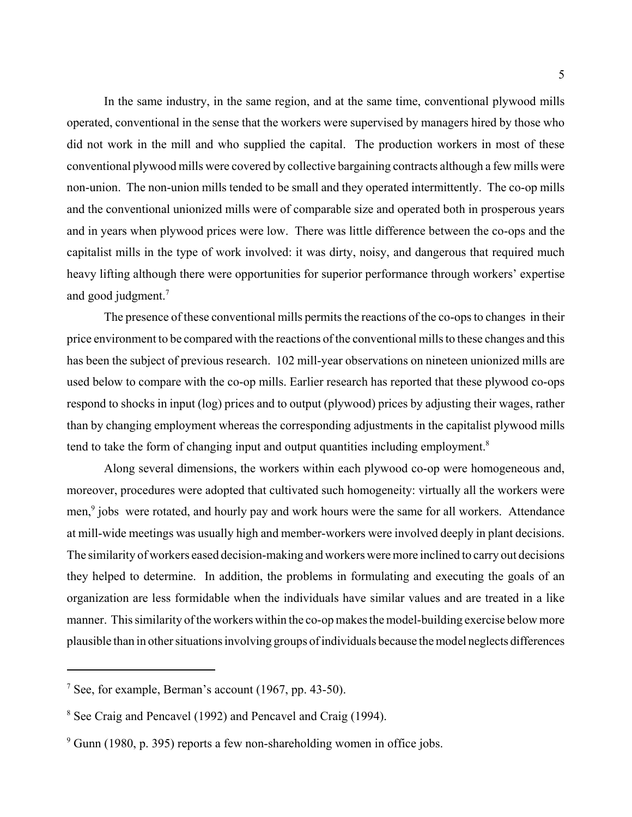In the same industry, in the same region, and at the same time, conventional plywood mills operated, conventional in the sense that the workers were supervised by managers hired by those who did not work in the mill and who supplied the capital. The production workers in most of these conventional plywood mills were covered by collective bargaining contracts although a few mills were non-union. The non-union mills tended to be small and they operated intermittently. The co-op mills and the conventional unionized mills were of comparable size and operated both in prosperous years and in years when plywood prices were low. There was little difference between the co-ops and the capitalist mills in the type of work involved: it was dirty, noisy, and dangerous that required much heavy lifting although there were opportunities for superior performance through workers' expertise and good judgment.<sup>7</sup>

The presence of these conventional mills permits the reactions of the co-ops to changes in their price environment to be compared with the reactions of the conventional mills to these changes and this has been the subject of previous research. 102 mill-year observations on nineteen unionized mills are used below to compare with the co-op mills. Earlier research has reported that these plywood co-ops respond to shocks in input (log) prices and to output (plywood) prices by adjusting their wages, rather than by changing employment whereas the corresponding adjustments in the capitalist plywood mills tend to take the form of changing input and output quantities including employment.<sup>8</sup>

Along several dimensions, the workers within each plywood co-op were homogeneous and, moreover, procedures were adopted that cultivated such homogeneity: virtually all the workers were men,<sup>9</sup> jobs were rotated, and hourly pay and work hours were the same for all workers. Attendance at mill-wide meetings was usually high and member-workers were involved deeply in plant decisions. The similarity of workers eased decision-making and workers were more inclined to carry out decisions they helped to determine. In addition, the problems in formulating and executing the goals of an organization are less formidable when the individuals have similar values and are treated in a like manner. This similarity of the workers within the co-op makes the model-building exercise below more plausible than in other situations involving groups of individuals because the model neglects differences

<sup>&</sup>lt;sup>7</sup> See, for example, Berman's account (1967, pp. 43-50).

<sup>&</sup>lt;sup>8</sup> See Craig and Pencavel (1992) and Pencavel and Craig (1994).

<sup>&</sup>lt;sup>9</sup> Gunn (1980, p. 395) reports a few non-shareholding women in office jobs.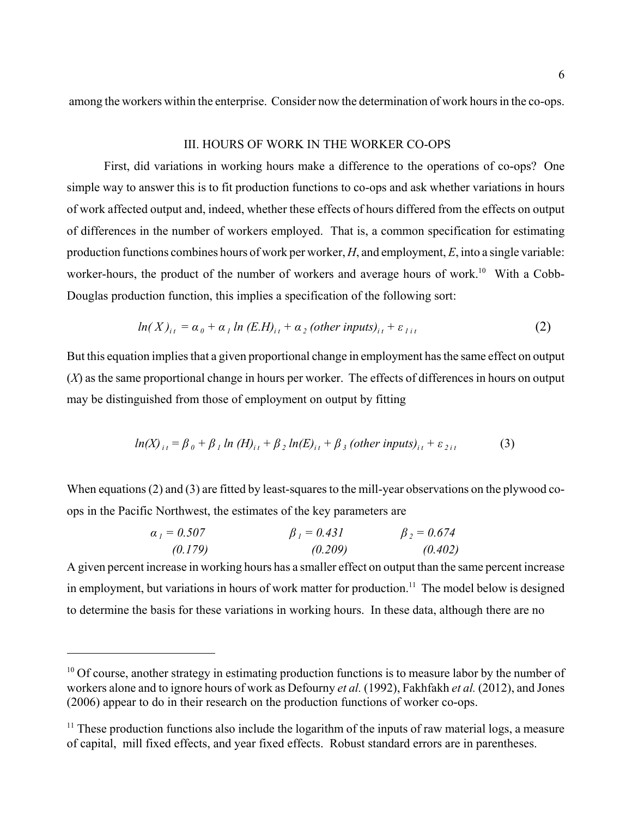among the workers within the enterprise. Consider now the determination of work hours in the co-ops.

#### III. HOURS OF WORK IN THE WORKER CO-OPS

 First, did variations in working hours make a difference to the operations of co-ops? One simple way to answer this is to fit production functions to co-ops and ask whether variations in hours of work affected output and, indeed, whether these effects of hours differed from the effects on output of differences in the number of workers employed. That is, a common specification for estimating production functions combines hours of work per worker, *H*, and employment, *E*, into a single variable: worker-hours, the product of the number of workers and average hours of work.<sup>10</sup> With a Cobb-Douglas production function, this implies a specification of the following sort:

$$
ln(X)_{it} = \alpha_0 + \alpha_1 ln(E.H)_{it} + \alpha_2 (other inputs)_{it} + \varepsilon_{1it}
$$
 (2)

But this equation implies that a given proportional change in employment has the same effect on output (*X*) as the same proportional change in hours per worker. The effects of differences in hours on output may be distinguished from those of employment on output by fitting

$$
ln(X)_{it} = \beta_0 + \beta_1 ln(H)_{it} + \beta_2 ln(E)_{it} + \beta_3 (other inputs)_{it} + \varepsilon_{2it}
$$
 (3)

When equations (2) and (3) are fitted by least-squares to the mill-year observations on the plywood coops in the Pacific Northwest, the estimates of the key parameters are

$$
\alpha_{1} = 0.507
$$
\n(0.179)\n
$$
\beta_{1} = 0.431
$$
\n(0.209)\n
$$
\beta_{2} = 0.674
$$
\n(0.402)

A given percent increase in working hours has a smaller effect on output than the same percent increase in employment, but variations in hours of work matter for production.<sup>11</sup> The model below is designed to determine the basis for these variations in working hours. In these data, although there are no

 $10$  Of course, another strategy in estimating production functions is to measure labor by the number of workers alone and to ignore hours of work as Defourny *et al.* (1992), Fakhfakh *et al.* (2012), and Jones (2006) appear to do in their research on the production functions of worker co-ops.

 $11$  These production functions also include the logarithm of the inputs of raw material logs, a measure of capital, mill fixed effects, and year fixed effects. Robust standard errors are in parentheses.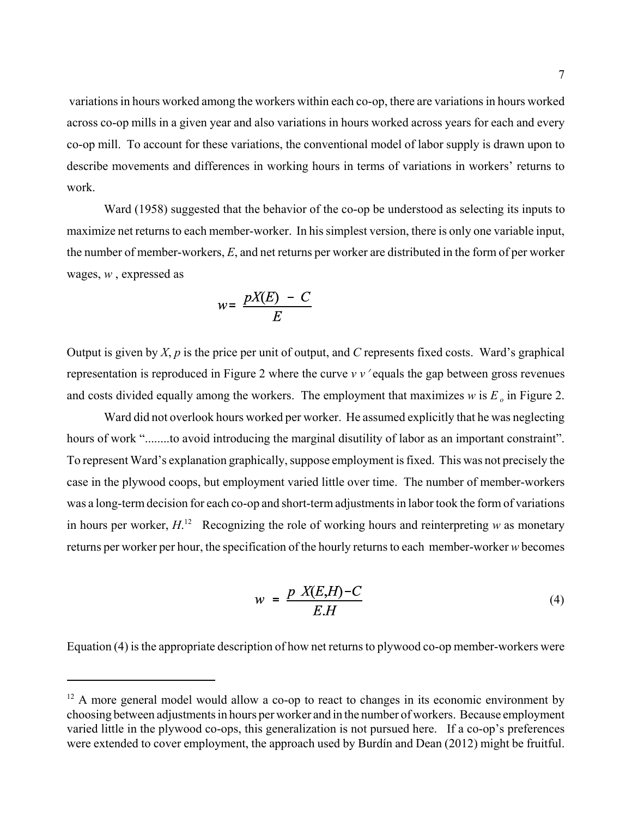variations in hours worked among the workers within each co-op, there are variations in hours worked across co-op mills in a given year and also variations in hours worked across years for each and every co-op mill. To account for these variations, the conventional model of labor supply is drawn upon to describe movements and differences in working hours in terms of variations in workers' returns to work.

Ward (1958) suggested that the behavior of the co-op be understood as selecting its inputs to maximize net returns to each member-worker. In his simplest version, there is only one variable input, the number of member-workers, *E*, and net returns per worker are distributed in the form of per worker wages, *w* , expressed as

$$
w = \frac{pX(E) - C}{E}
$$

Output is given by *X*, *p* is the price per unit of output, and *C* represents fixed costs. Ward's graphical representation is reproduced in Figure 2 where the curve  $v v$  equals the gap between gross revenues and costs divided equally among the workers. The employment that maximizes  $w$  is  $E_a$  in Figure 2.

Ward did not overlook hours worked per worker. He assumed explicitly that he was neglecting hours of work "........to avoid introducing the marginal disutility of labor as an important constraint". To represent Ward's explanation graphically, suppose employment is fixed. This was not precisely the case in the plywood coops, but employment varied little over time. The number of member-workers was a long-term decision for each co-op and short-term adjustments in labor took the form of variations in hours per worker,  $H^{12}$  Recognizing the role of working hours and reinterpreting *w* as monetary returns per worker per hour, the specification of the hourly returns to each member-worker *w* becomes

$$
w = \frac{p \ X(E,H) - C}{E.H} \tag{4}
$$

Equation (4) is the appropriate description of how net returns to plywood co-op member-workers were

<sup>&</sup>lt;sup>12</sup> A more general model would allow a co-op to react to changes in its economic environment by choosing between adjustments in hours per worker and in the number of workers. Because employment varied little in the plywood co-ops, this generalization is not pursued here. If a co-op's preferences were extended to cover employment, the approach used by Burdín and Dean (2012) might be fruitful.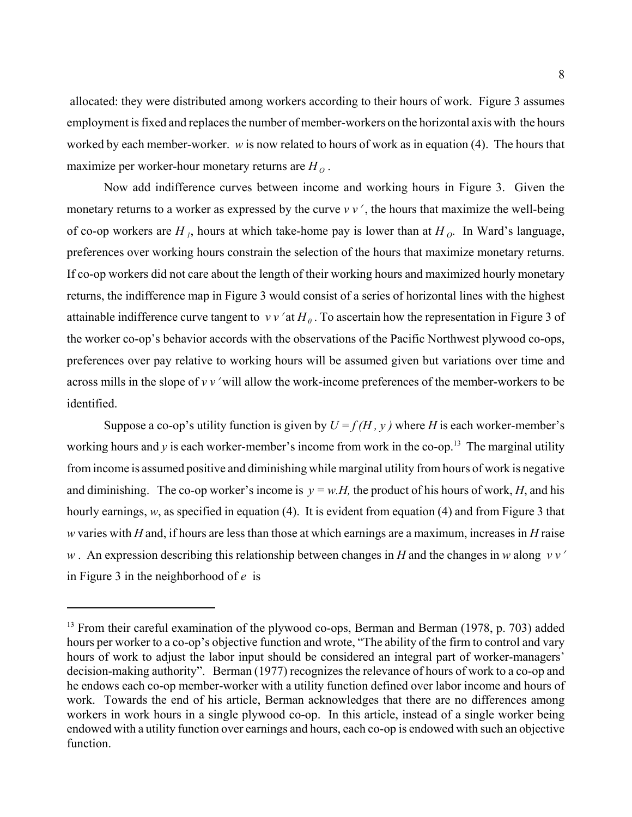allocated: they were distributed among workers according to their hours of work. Figure 3 assumes employment is fixed and replaces the number of member-workers on the horizontal axis with the hours worked by each member-worker. *w* is now related to hours of work as in equation (4). The hours that maximize per worker-hour monetary returns are  $H_0$ .

Now add indifference curves between income and working hours in Figure 3. Given the monetary returns to a worker as expressed by the curve  $v v'$ , the hours that maximize the well-being of co-op workers are  $H<sub>1</sub>$ , hours at which take-home pay is lower than at  $H<sub>0</sub>$ . In Ward's language, preferences over working hours constrain the selection of the hours that maximize monetary returns. If co-op workers did not care about the length of their working hours and maximized hourly monetary returns, the indifference map in Figure 3 would consist of a series of horizontal lines with the highest attainable indifference curve tangent to  $v v'$  at  $H_0$ . To ascertain how the representation in Figure 3 of the worker co-op's behavior accords with the observations of the Pacific Northwest plywood co-ops, preferences over pay relative to working hours will be assumed given but variations over time and across mills in the slope of  $v v'$  will allow the work-income preferences of the member-workers to be identified.

Suppose a co-op's utility function is given by  $U = f(H, y)$  where *H* is each worker-member's working hours and *y* is each worker-member's income from work in the co-op.<sup>13</sup> The marginal utility from income is assumed positive and diminishing while marginal utility from hours of work is negative and diminishing. The co-op worker's income is  $y = w.H$ , the product of his hours of work, *H*, and his hourly earnings, *w*, as specified in equation (4). It is evident from equation (4) and from Figure 3 that *w* varies with *H* and, if hours are less than those at which earnings are a maximum, increases in *H* raise *w*. An expression describing this relationship between changes in *H* and the changes in *w* along *v v'* in Figure 3 in the neighborhood of *e* is

<sup>&</sup>lt;sup>13</sup> From their careful examination of the plywood co-ops, Berman and Berman (1978, p. 703) added hours per worker to a co-op's objective function and wrote, "The ability of the firm to control and vary hours of work to adjust the labor input should be considered an integral part of worker-managers' decision-making authority". Berman (1977) recognizes the relevance of hours of work to a co-op and he endows each co-op member-worker with a utility function defined over labor income and hours of work. Towards the end of his article, Berman acknowledges that there are no differences among workers in work hours in a single plywood co-op. In this article, instead of a single worker being endowed with a utility function over earnings and hours, each co-op is endowed with such an objective function.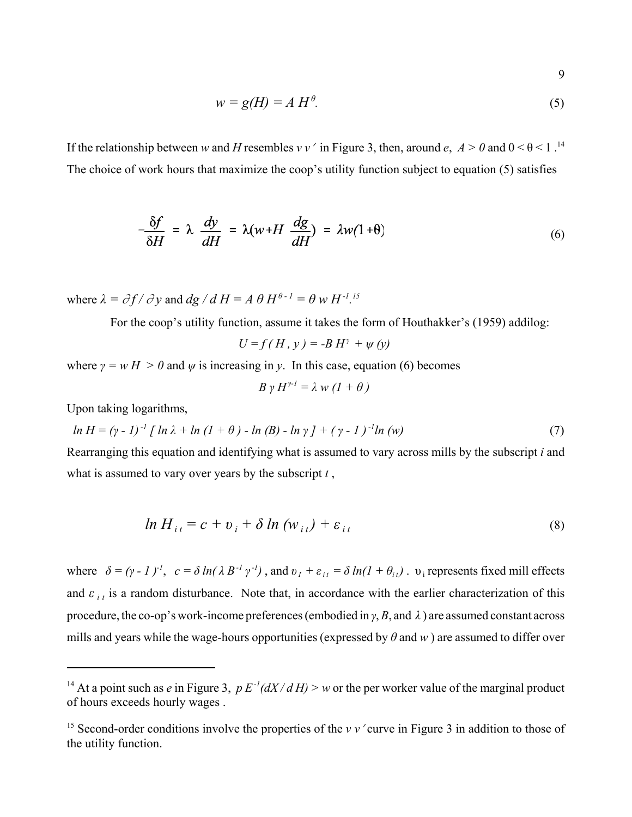$$
w = g(H) = A H^{\theta}.
$$
\n<sup>(5)</sup>

9

If the relationship between *w* and *H* resembles  $v v'$  in Figure 3, then, around *e*,  $A > 0$  and  $0 < \theta < 1$ .<sup>14</sup> The choice of work hours that maximize the coop's utility function subject to equation (5) satisfies

$$
-\frac{\delta f}{\delta H} = \lambda \frac{dy}{dH} = \lambda (w + H \frac{dg}{dH}) = \lambda w (1 + \theta)
$$
\n(6)

where  $\lambda = \partial f / \partial y$  and  $dg / dH = A \theta H^{\theta - 1} = \theta w H^{-1.15}$ 

For the coop's utility function, assume it takes the form of Houthakker's (1959) addilog:

$$
U = f(H, y) = -BH^{\gamma} + \psi(y)
$$

where  $\gamma = w H > 0$  and  $\psi$  is increasing in *y*. In this case, equation (6) becomes

$$
B \gamma H^{\gamma - l} = \lambda w (l + \theta)
$$

Upon taking logarithms,

$$
\ln H = (\gamma - 1)^{-1} \int \ln \lambda + \ln (1 + \theta) - \ln (B) - \ln \gamma \int + (\gamma - 1)^{-1} \ln (w) \tag{7}
$$

Rearranging this equation and identifying what is assumed to vary across mills by the subscript *i* and what is assumed to vary over years by the subscript *t* ,

$$
ln H_{it} = c + v_i + \delta ln (w_{it}) + \varepsilon_{it}
$$
\n(8)

where  $\delta = (\gamma - 1)^{-1}$ ,  $c = \delta \ln(\lambda B^{-1} \gamma^{-1})$ , and  $v_I + \varepsilon_{it} = \delta \ln(1 + \theta_{it})$ .  $v_i$  represents fixed mill effects and  $\varepsilon_{i}$  is a random disturbance. Note that, in accordance with the earlier characterization of this procedure, the co-op's work-income preferences (embodied in *γ*, *B*, and *λ* ) are assumed constant across mills and years while the wage-hours opportunities (expressed by *θ* and *w* ) are assumed to differ over

<sup>&</sup>lt;sup>14</sup> At a point such as *e* in Figure 3,  $p E^{-1}(dX/dH) > w$  or the per worker value of the marginal product of hours exceeds hourly wages .

<sup>&</sup>lt;sup>15</sup> Second-order conditions involve the properties of the  $v v$  curve in Figure 3 in addition to those of the utility function.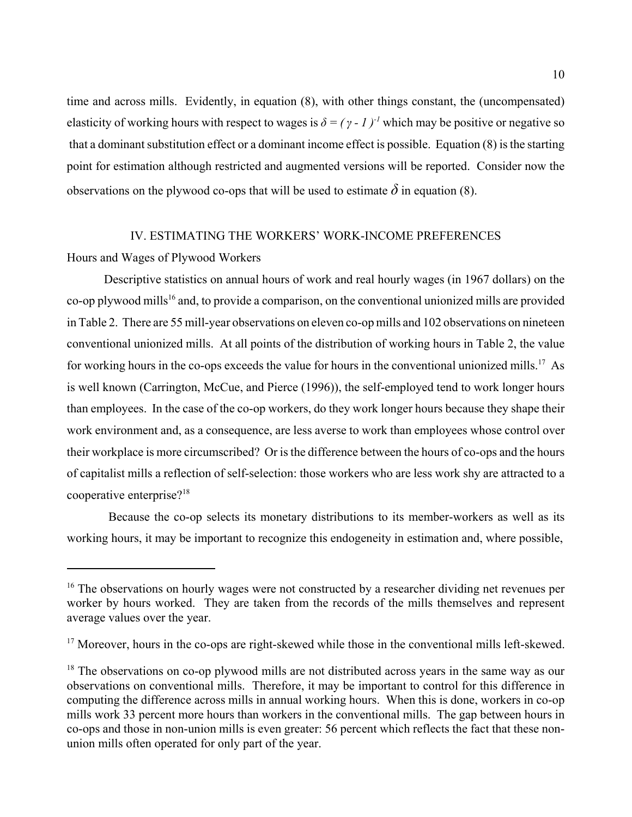time and across mills. Evidently, in equation (8), with other things constant, the (uncompensated) elasticity of working hours with respect to wages is  $\delta = (\gamma - 1)^{-1}$  which may be positive or negative so that a dominant substitution effect or a dominant income effect is possible. Equation (8) is the starting point for estimation although restricted and augmented versions will be reported. Consider now the observations on the plywood co-ops that will be used to estimate  $\delta$  in equation (8).

### IV. ESTIMATING THE WORKERS' WORK-INCOME PREFERENCES

#### Hours and Wages of Plywood Workers

Descriptive statistics on annual hours of work and real hourly wages (in 1967 dollars) on the co-op plywood mills<sup>16</sup> and, to provide a comparison, on the conventional unionized mills are provided in Table 2. There are 55 mill-year observations on eleven co-op mills and 102 observations on nineteen conventional unionized mills. At all points of the distribution of working hours in Table 2, the value for working hours in the co-ops exceeds the value for hours in the conventional unionized mills.<sup>17</sup> As is well known (Carrington, McCue, and Pierce (1996)), the self-employed tend to work longer hours than employees. In the case of the co-op workers, do they work longer hours because they shape their work environment and, as a consequence, are less averse to work than employees whose control over their workplace is more circumscribed? Or is the difference between the hours of co-ops and the hours of capitalist mills a reflection of self-selection: those workers who are less work shy are attracted to a cooperative enterprise?18

 Because the co-op selects its monetary distributions to its member-workers as well as its working hours, it may be important to recognize this endogeneity in estimation and, where possible,

<sup>&</sup>lt;sup>16</sup> The observations on hourly wages were not constructed by a researcher dividing net revenues per worker by hours worked. They are taken from the records of the mills themselves and represent average values over the year.

<sup>&</sup>lt;sup>17</sup> Moreover, hours in the co-ops are right-skewed while those in the conventional mills left-skewed.

<sup>&</sup>lt;sup>18</sup> The observations on co-op plywood mills are not distributed across years in the same way as our observations on conventional mills. Therefore, it may be important to control for this difference in computing the difference across mills in annual working hours. When this is done, workers in co-op mills work 33 percent more hours than workers in the conventional mills. The gap between hours in co-ops and those in non-union mills is even greater: 56 percent which reflects the fact that these nonunion mills often operated for only part of the year.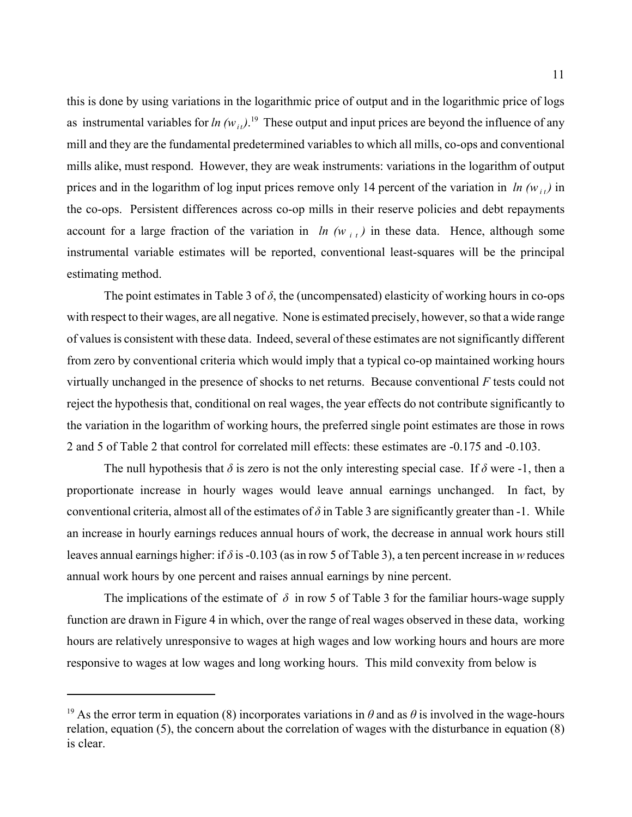this is done by using variations in the logarithmic price of output and in the logarithmic price of logs as instrumental variables for  $ln(w_{it})$ .<sup>19</sup> These output and input prices are beyond the influence of any mill and they are the fundamental predetermined variables to which all mills, co-ops and conventional mills alike, must respond. However, they are weak instruments: variations in the logarithm of output prices and in the logarithm of log input prices remove only 14 percent of the variation in *ln* ( $w_{ii}$ ) in the co-ops. Persistent differences across co-op mills in their reserve policies and debt repayments account for a large fraction of the variation in *ln*  $(w_{i,t})$  in these data. Hence, although some instrumental variable estimates will be reported, conventional least-squares will be the principal estimating method.

The point estimates in Table 3 of *δ*, the (uncompensated) elasticity of working hours in co-ops with respect to their wages, are all negative. None is estimated precisely, however, so that a wide range of values is consistent with these data. Indeed, several of these estimates are not significantly different from zero by conventional criteria which would imply that a typical co-op maintained working hours virtually unchanged in the presence of shocks to net returns. Because conventional *F* tests could not reject the hypothesis that, conditional on real wages, the year effects do not contribute significantly to the variation in the logarithm of working hours, the preferred single point estimates are those in rows 2 and 5 of Table 2 that control for correlated mill effects: these estimates are -0.175 and -0.103.

The null hypothesis that  $\delta$  is zero is not the only interesting special case. If  $\delta$  were -1, then a proportionate increase in hourly wages would leave annual earnings unchanged. In fact, by conventional criteria, almost all of the estimates of  $\delta$  in Table 3 are significantly greater than -1. While an increase in hourly earnings reduces annual hours of work, the decrease in annual work hours still leaves annual earnings higher: if *δ* is -0.103 (as in row 5 of Table 3), a ten percent increase in *w* reduces annual work hours by one percent and raises annual earnings by nine percent.

The implications of the estimate of  $\delta$  in row 5 of Table 3 for the familiar hours-wage supply function are drawn in Figure 4 in which, over the range of real wages observed in these data, working hours are relatively unresponsive to wages at high wages and low working hours and hours are more responsive to wages at low wages and long working hours. This mild convexity from below is

<sup>&</sup>lt;sup>19</sup> As the error term in equation (8) incorporates variations in  $\theta$  and as  $\theta$  is involved in the wage-hours relation, equation (5), the concern about the correlation of wages with the disturbance in equation (8) is clear.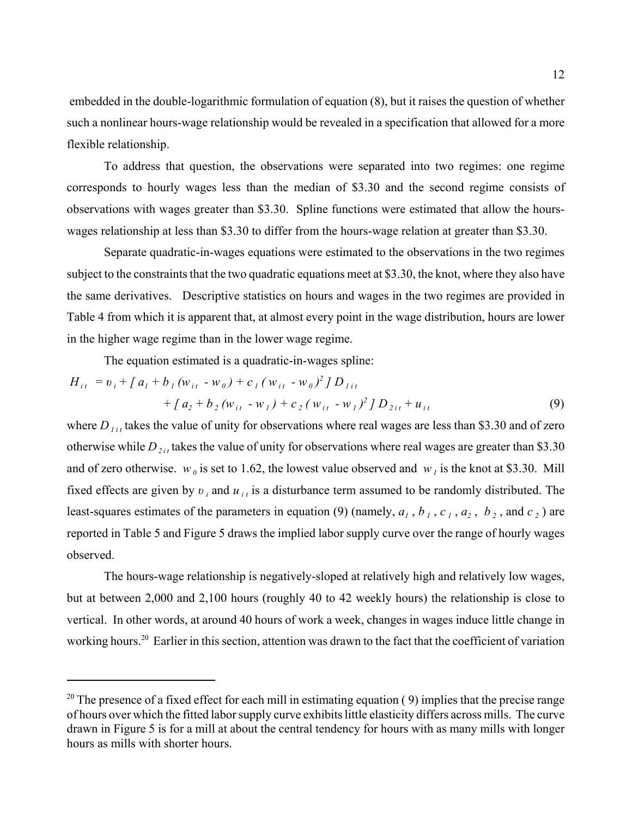embedded in the double-logarithmic formulation of equation (8), but it raises the question of whether such a nonlinear hours-wage relationship would be revealed in a specification that allowed for a more flexible relationship.

To address that question, the observations were separated into two regimes: one regime corresponds to hourly wages less than the median of \$3.30 and the second regime consists of observations with wages greater than \$3.30. Spline functions were estimated that allow the hourswages relationship at less than \$3.30 to differ from the hours-wage relation at greater than \$3.30.

Separate quadratic-in-wages equations were estimated to the observations in the two regimes subject to the constraints that the two quadratic equations meet at \$3.30, the knot, where they also have the same derivatives. Descriptive statistics on hours and wages in the two regimes are provided in Table 4 from which it is apparent that, at almost every point in the wage distribution, hours are lower in the higher wage regime than in the lower wage regime.

The equation estimated is a quadratic-in-wages spline:

$$
H_{it} = v_i + [a_l + b_l(w_{it} - w_0) + c_l(w_{it} - w_0)^2] D_{1it}
$$
  
+ 
$$
[a_2 + b_2(w_{it} - w_1) + c_2(w_{it} - w_1)^2] D_{2it} + u_{it}
$$
 (9)

where  $D_{i,i}$  takes the value of unity for observations where real wages are less than \$3.30 and of zero otherwise while  $D_{2it}$  takes the value of unity for observations where real wages are greater than \$3.30 and of zero otherwise.  $w_0$  is set to 1.62, the lowest value observed and  $w_1$  is the knot at \$3.30. Mill fixed effects are given by *υ i* and *u i t* is a disturbance term assumed to be randomly distributed. The least-squares estimates of the parameters in equation (9) (namely,  $a_1$ ,  $b_1$ ,  $c_1$ ,  $a_2$ ,  $b_2$ , and  $c_2$ ) are reported in Table 5 and Figure 5 draws the implied labor supply curve over the range of hourly wages observed.

The hours-wage relationship is negatively-sloped at relatively high and relatively low wages, but at between 2,000 and 2,100 hours (roughly 40 to 42 weekly hours) the relationship is close to vertical. In other words, at around 40 hours of work a week, changes in wages induce little change in working hours.<sup>20</sup> Earlier in this section, attention was drawn to the fact that the coefficient of variation

<sup>&</sup>lt;sup>20</sup> The presence of a fixed effect for each mill in estimating equation (9) implies that the precise range of hours over which the fitted labor supply curve exhibits little elasticity differs across mills. The curve drawn in Figure 5 is for a mill at about the central tendency for hours with as many mills with longer hours as mills with shorter hours.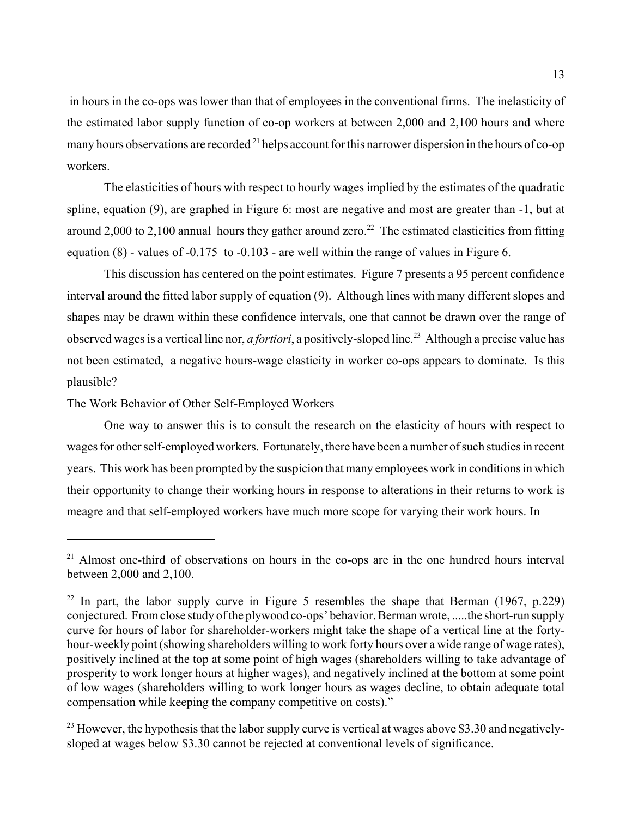in hours in the co-ops was lower than that of employees in the conventional firms. The inelasticity of the estimated labor supply function of co-op workers at between 2,000 and 2,100 hours and where many hours observations are recorded  $^{21}$  helps account for this narrower dispersion in the hours of co-op workers.

The elasticities of hours with respect to hourly wages implied by the estimates of the quadratic spline, equation (9), are graphed in Figure 6: most are negative and most are greater than -1, but at around 2,000 to 2,100 annual hours they gather around zero.<sup>22</sup> The estimated elasticities from fitting equation (8) - values of -0.175 to -0.103 - are well within the range of values in Figure 6.

This discussion has centered on the point estimates. Figure 7 presents a 95 percent confidence interval around the fitted labor supply of equation (9). Although lines with many different slopes and shapes may be drawn within these confidence intervals, one that cannot be drawn over the range of observed wages is a vertical line nor, *a fortiori*, a positively-sloped line.<sup>23</sup> Although a precise value has not been estimated, a negative hours-wage elasticity in worker co-ops appears to dominate. Is this plausible?

The Work Behavior of Other Self-Employed Workers

One way to answer this is to consult the research on the elasticity of hours with respect to wages for other self-employed workers. Fortunately, there have been a number of such studies in recent years. This work has been prompted by the suspicion that many employees work in conditions in which their opportunity to change their working hours in response to alterations in their returns to work is meagre and that self-employed workers have much more scope for varying their work hours. In

 $21$  Almost one-third of observations on hours in the co-ops are in the one hundred hours interval between 2,000 and 2,100.

<sup>&</sup>lt;sup>22</sup> In part, the labor supply curve in Figure 5 resembles the shape that Berman  $(1967, p.229)$ conjectured. From close study of the plywood co-ops' behavior. Berman wrote, .....the short-run supply curve for hours of labor for shareholder-workers might take the shape of a vertical line at the fortyhour-weekly point (showing shareholders willing to work forty hours over a wide range of wage rates), positively inclined at the top at some point of high wages (shareholders willing to take advantage of prosperity to work longer hours at higher wages), and negatively inclined at the bottom at some point of low wages (shareholders willing to work longer hours as wages decline, to obtain adequate total compensation while keeping the company competitive on costs)."

 $^{23}$  However, the hypothesis that the labor supply curve is vertical at wages above \$3.30 and negativelysloped at wages below \$3.30 cannot be rejected at conventional levels of significance.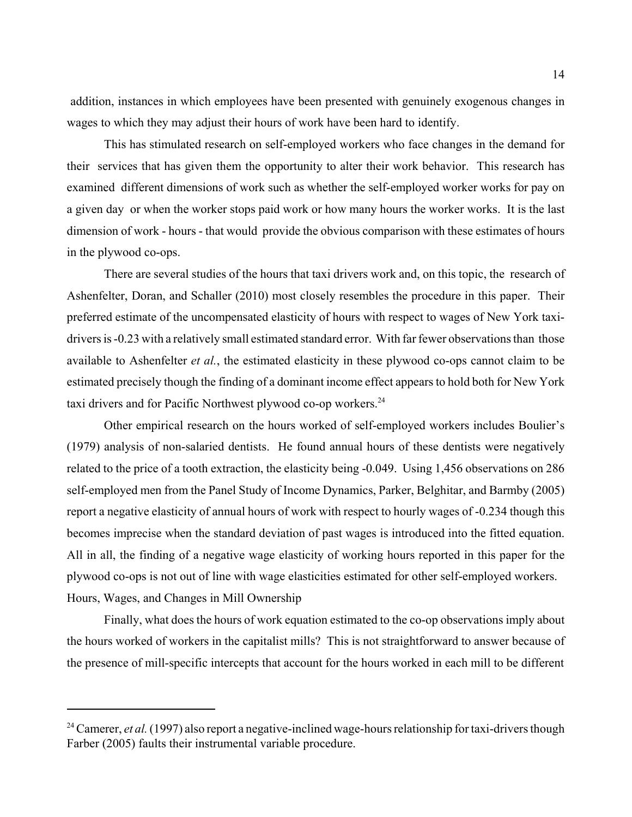addition, instances in which employees have been presented with genuinely exogenous changes in wages to which they may adjust their hours of work have been hard to identify.

This has stimulated research on self-employed workers who face changes in the demand for their services that has given them the opportunity to alter their work behavior. This research has examined different dimensions of work such as whether the self-employed worker works for pay on a given day or when the worker stops paid work or how many hours the worker works. It is the last dimension of work - hours - that would provide the obvious comparison with these estimates of hours in the plywood co-ops.

 There are several studies of the hours that taxi drivers work and, on this topic, the research of Ashenfelter, Doran, and Schaller (2010) most closely resembles the procedure in this paper. Their preferred estimate of the uncompensated elasticity of hours with respect to wages of New York taxidrivers is -0.23 with a relatively small estimated standard error. With far fewer observations than those available to Ashenfelter *et al.*, the estimated elasticity in these plywood co-ops cannot claim to be estimated precisely though the finding of a dominant income effect appears to hold both for New York taxi drivers and for Pacific Northwest plywood co-op workers. $24$ 

Other empirical research on the hours worked of self-employed workers includes Boulier's (1979) analysis of non-salaried dentists. He found annual hours of these dentists were negatively related to the price of a tooth extraction, the elasticity being -0.049. Using 1,456 observations on 286 self-employed men from the Panel Study of Income Dynamics, Parker, Belghitar, and Barmby (2005) report a negative elasticity of annual hours of work with respect to hourly wages of -0.234 though this becomes imprecise when the standard deviation of past wages is introduced into the fitted equation. All in all, the finding of a negative wage elasticity of working hours reported in this paper for the plywood co-ops is not out of line with wage elasticities estimated for other self-employed workers. Hours, Wages, and Changes in Mill Ownership

Finally, what does the hours of work equation estimated to the co-op observations imply about the hours worked of workers in the capitalist mills? This is not straightforward to answer because of the presence of mill-specific intercepts that account for the hours worked in each mill to be different

<sup>&</sup>lt;sup>24</sup> Camerer, *et al.* (1997) also report a negative-inclined wage-hours relationship for taxi-drivers though Farber (2005) faults their instrumental variable procedure.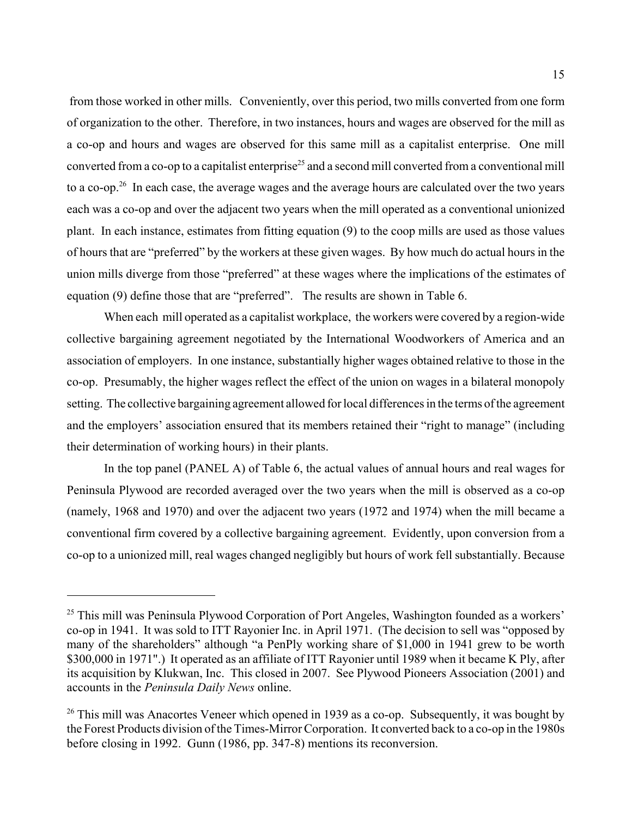from those worked in other mills. Conveniently, over this period, two mills converted from one form of organization to the other. Therefore, in two instances, hours and wages are observed for the mill as a co-op and hours and wages are observed for this same mill as a capitalist enterprise. One mill converted from a co-op to a capitalist enterprise<sup>25</sup> and a second mill converted from a conventional mill to a co-op.<sup>26</sup> In each case, the average wages and the average hours are calculated over the two years each was a co-op and over the adjacent two years when the mill operated as a conventional unionized plant. In each instance, estimates from fitting equation (9) to the coop mills are used as those values of hours that are "preferred" by the workers at these given wages. By how much do actual hours in the union mills diverge from those "preferred" at these wages where the implications of the estimates of equation (9) define those that are "preferred". The results are shown in Table 6.

When each mill operated as a capitalist workplace, the workers were covered by a region-wide collective bargaining agreement negotiated by the International Woodworkers of America and an association of employers. In one instance, substantially higher wages obtained relative to those in the co-op. Presumably, the higher wages reflect the effect of the union on wages in a bilateral monopoly setting. The collective bargaining agreement allowed for local differences in the terms of the agreement and the employers' association ensured that its members retained their "right to manage" (including their determination of working hours) in their plants.

In the top panel (PANEL A) of Table 6, the actual values of annual hours and real wages for Peninsula Plywood are recorded averaged over the two years when the mill is observed as a co-op (namely, 1968 and 1970) and over the adjacent two years (1972 and 1974) when the mill became a conventional firm covered by a collective bargaining agreement. Evidently, upon conversion from a co-op to a unionized mill, real wages changed negligibly but hours of work fell substantially. Because

<sup>&</sup>lt;sup>25</sup> This mill was Peninsula Plywood Corporation of Port Angeles, Washington founded as a workers' co-op in 1941. It was sold to ITT Rayonier Inc. in April 1971. (The decision to sell was "opposed by many of the shareholders" although "a PenPly working share of \$1,000 in 1941 grew to be worth \$300,000 in 1971".) It operated as an affiliate of ITT Rayonier until 1989 when it became K Ply, after its acquisition by Klukwan, Inc. This closed in 2007. See Plywood Pioneers Association (2001) and accounts in the *Peninsula Daily News* online.

<sup>&</sup>lt;sup>26</sup> This mill was Anacortes Veneer which opened in 1939 as a co-op. Subsequently, it was bought by the Forest Products division of the Times-Mirror Corporation. It converted back to a co-op in the 1980s before closing in 1992. Gunn (1986, pp. 347-8) mentions its reconversion.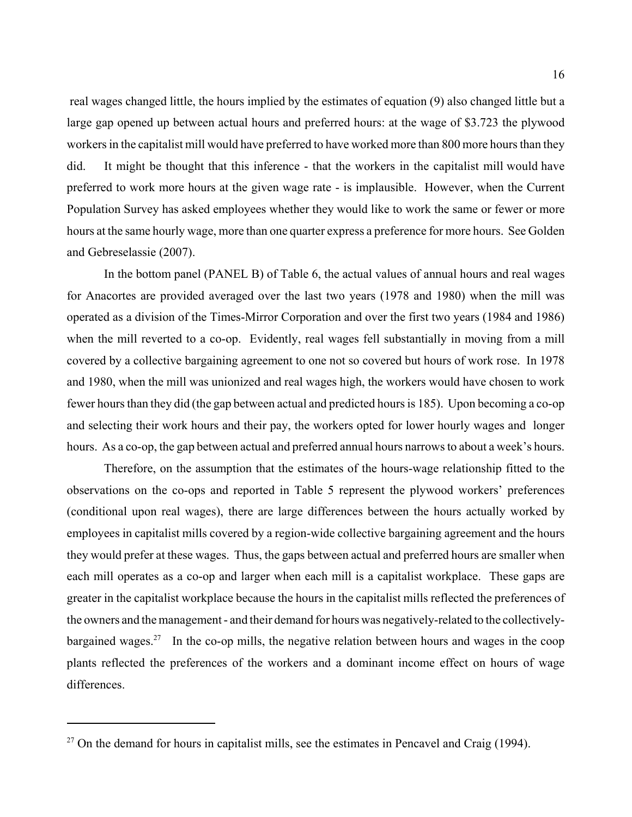real wages changed little, the hours implied by the estimates of equation (9) also changed little but a large gap opened up between actual hours and preferred hours: at the wage of \$3.723 the plywood workers in the capitalist mill would have preferred to have worked more than 800 more hours than they did. It might be thought that this inference - that the workers in the capitalist mill would have preferred to work more hours at the given wage rate - is implausible. However, when the Current Population Survey has asked employees whether they would like to work the same or fewer or more hours at the same hourly wage, more than one quarter express a preference for more hours. See Golden and Gebreselassie (2007).

In the bottom panel (PANEL B) of Table 6, the actual values of annual hours and real wages for Anacortes are provided averaged over the last two years (1978 and 1980) when the mill was operated as a division of the Times-Mirror Corporation and over the first two years (1984 and 1986) when the mill reverted to a co-op. Evidently, real wages fell substantially in moving from a mill covered by a collective bargaining agreement to one not so covered but hours of work rose. In 1978 and 1980, when the mill was unionized and real wages high, the workers would have chosen to work fewer hours than they did (the gap between actual and predicted hours is 185). Upon becoming a co-op and selecting their work hours and their pay, the workers opted for lower hourly wages and longer hours. As a co-op, the gap between actual and preferred annual hours narrows to about a week's hours.

Therefore, on the assumption that the estimates of the hours-wage relationship fitted to the observations on the co-ops and reported in Table 5 represent the plywood workers' preferences (conditional upon real wages), there are large differences between the hours actually worked by employees in capitalist mills covered by a region-wide collective bargaining agreement and the hours they would prefer at these wages. Thus, the gaps between actual and preferred hours are smaller when each mill operates as a co-op and larger when each mill is a capitalist workplace. These gaps are greater in the capitalist workplace because the hours in the capitalist mills reflected the preferences of the owners and the management - and their demand for hours was negatively-related to the collectivelybargained wages.<sup>27</sup> In the co-op mills, the negative relation between hours and wages in the coop plants reflected the preferences of the workers and a dominant income effect on hours of wage differences.

 $27$  On the demand for hours in capitalist mills, see the estimates in Pencavel and Craig (1994).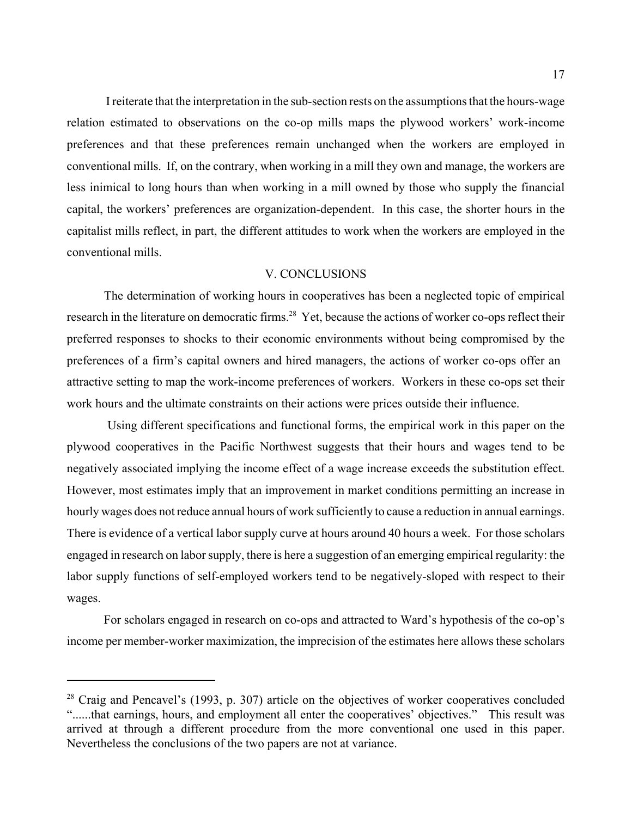I reiterate that the interpretation in the sub-section rests on the assumptions that the hours-wage relation estimated to observations on the co-op mills maps the plywood workers' work-income preferences and that these preferences remain unchanged when the workers are employed in conventional mills. If, on the contrary, when working in a mill they own and manage, the workers are less inimical to long hours than when working in a mill owned by those who supply the financial capital, the workers' preferences are organization-dependent. In this case, the shorter hours in the capitalist mills reflect, in part, the different attitudes to work when the workers are employed in the conventional mills.

### V. CONCLUSIONS

The determination of working hours in cooperatives has been a neglected topic of empirical research in the literature on democratic firms.<sup>28</sup> Yet, because the actions of worker co-ops reflect their preferred responses to shocks to their economic environments without being compromised by the preferences of a firm's capital owners and hired managers, the actions of worker co-ops offer an attractive setting to map the work-income preferences of workers. Workers in these co-ops set their work hours and the ultimate constraints on their actions were prices outside their influence.

 Using different specifications and functional forms, the empirical work in this paper on the plywood cooperatives in the Pacific Northwest suggests that their hours and wages tend to be negatively associated implying the income effect of a wage increase exceeds the substitution effect. However, most estimates imply that an improvement in market conditions permitting an increase in hourly wages does not reduce annual hours of work sufficiently to cause a reduction in annual earnings. There is evidence of a vertical labor supply curve at hours around 40 hours a week. For those scholars engaged in research on labor supply, there is here a suggestion of an emerging empirical regularity: the labor supply functions of self-employed workers tend to be negatively-sloped with respect to their wages.

 For scholars engaged in research on co-ops and attracted to Ward's hypothesis of the co-op's income per member-worker maximization, the imprecision of the estimates here allows these scholars

 $28$  Craig and Pencavel's (1993, p. 307) article on the objectives of worker cooperatives concluded "......that earnings, hours, and employment all enter the cooperatives' objectives." This result was arrived at through a different procedure from the more conventional one used in this paper. Nevertheless the conclusions of the two papers are not at variance.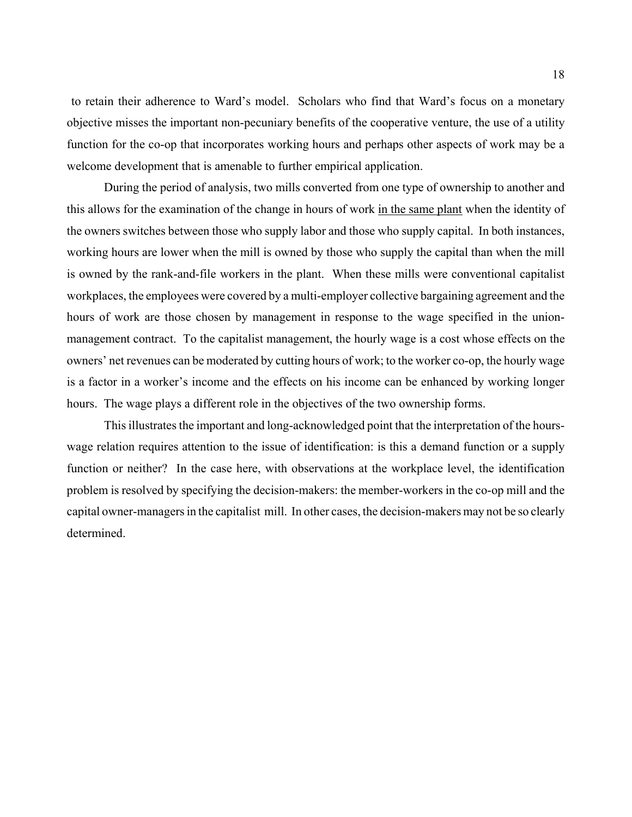to retain their adherence to Ward's model. Scholars who find that Ward's focus on a monetary objective misses the important non-pecuniary benefits of the cooperative venture, the use of a utility function for the co-op that incorporates working hours and perhaps other aspects of work may be a welcome development that is amenable to further empirical application.

During the period of analysis, two mills converted from one type of ownership to another and this allows for the examination of the change in hours of work in the same plant when the identity of the owners switches between those who supply labor and those who supply capital. In both instances, working hours are lower when the mill is owned by those who supply the capital than when the mill is owned by the rank-and-file workers in the plant. When these mills were conventional capitalist workplaces, the employees were covered by a multi-employer collective bargaining agreement and the hours of work are those chosen by management in response to the wage specified in the unionmanagement contract. To the capitalist management, the hourly wage is a cost whose effects on the owners' net revenues can be moderated by cutting hours of work; to the worker co-op, the hourly wage is a factor in a worker's income and the effects on his income can be enhanced by working longer hours. The wage plays a different role in the objectives of the two ownership forms.

This illustrates the important and long-acknowledged point that the interpretation of the hourswage relation requires attention to the issue of identification: is this a demand function or a supply function or neither? In the case here, with observations at the workplace level, the identification problem is resolved by specifying the decision-makers: the member-workers in the co-op mill and the capital owner-managers in the capitalist mill. In other cases, the decision-makers may not be so clearly determined.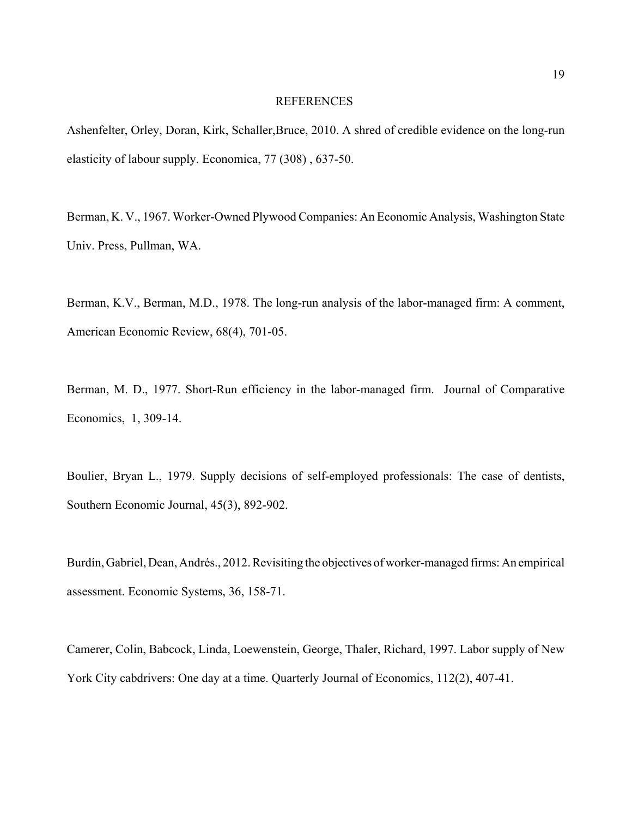#### REFERENCES

Ashenfelter, Orley, Doran, Kirk, Schaller,Bruce, 2010. A shred of credible evidence on the long-run elasticity of labour supply. Economica, 77 (308) , 637-50.

Berman, K. V., 1967. Worker-Owned Plywood Companies: An Economic Analysis, Washington State Univ. Press, Pullman, WA.

Berman, K.V., Berman, M.D., 1978. The long-run analysis of the labor-managed firm: A comment, American Economic Review, 68(4), 701-05.

Berman, M. D., 1977. Short-Run efficiency in the labor-managed firm. Journal of Comparative Economics, 1, 309-14.

Boulier, Bryan L., 1979. Supply decisions of self-employed professionals: The case of dentists, Southern Economic Journal, 45(3), 892-902.

Burdín, Gabriel, Dean, Andrés., 2012. Revisiting the objectives of worker-managed firms: An empirical assessment. Economic Systems, 36, 158-71.

Camerer, Colin, Babcock, Linda, Loewenstein, George, Thaler, Richard, 1997. Labor supply of New York City cabdrivers: One day at a time. Quarterly Journal of Economics, 112(2), 407-41.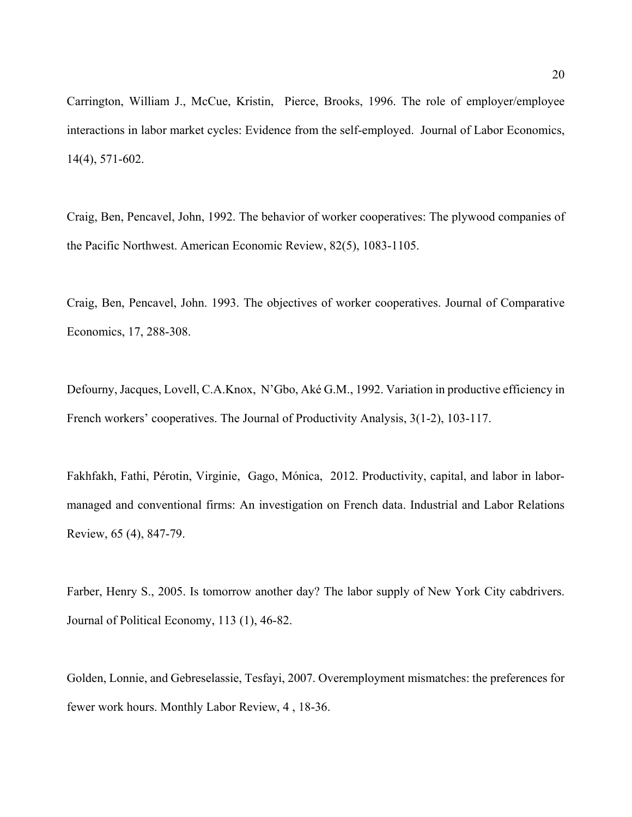Carrington, William J., McCue, Kristin, Pierce, Brooks, 1996. The role of employer/employee interactions in labor market cycles: Evidence from the self-employed. Journal of Labor Economics, 14(4), 571-602.

Craig, Ben, Pencavel, John, 1992. The behavior of worker cooperatives: The plywood companies of the Pacific Northwest. American Economic Review, 82(5), 1083-1105.

Craig, Ben, Pencavel, John. 1993. The objectives of worker cooperatives. Journal of Comparative Economics, 17, 288-308.

Defourny, Jacques, Lovell, C.A.Knox, N'Gbo, Aké G.M., 1992. Variation in productive efficiency in French workers' cooperatives. The Journal of Productivity Analysis, 3(1-2), 103-117.

Fakhfakh, Fathi, Pérotin, Virginie, Gago, Mónica, 2012. Productivity, capital, and labor in labormanaged and conventional firms: An investigation on French data. Industrial and Labor Relations Review, 65 (4), 847-79.

Farber, Henry S., 2005. Is tomorrow another day? The labor supply of New York City cabdrivers. Journal of Political Economy, 113 (1), 46-82.

Golden, Lonnie, and Gebreselassie, Tesfayi, 2007. Overemployment mismatches: the preferences for fewer work hours. Monthly Labor Review, 4 , 18-36.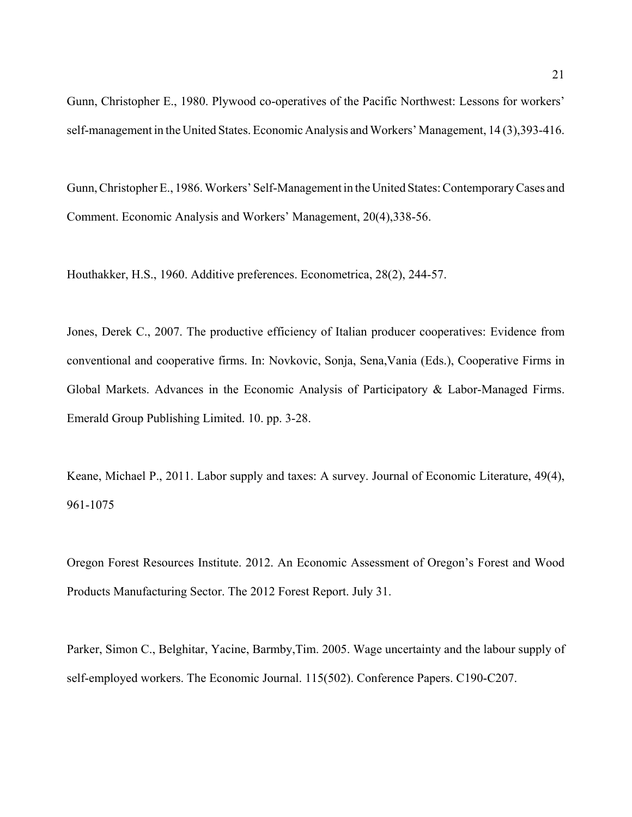Gunn, Christopher E., 1980. Plywood co-operatives of the Pacific Northwest: Lessons for workers' self-management in the United States. Economic Analysis and Workers' Management, 14 (3),393-416.

Gunn, Christopher E., 1986. Workers' Self-Management in the United States: Contemporary Cases and Comment. Economic Analysis and Workers' Management, 20(4),338-56.

Houthakker, H.S., 1960. Additive preferences. Econometrica, 28(2), 244-57.

Jones, Derek C., 2007. The productive efficiency of Italian producer cooperatives: Evidence from conventional and cooperative firms. In: Novkovic, Sonja, Sena,Vania (Eds.), Cooperative Firms in Global Markets. Advances in the Economic Analysis of Participatory & Labor-Managed Firms. Emerald Group Publishing Limited. 10. pp. 3-28.

Keane, Michael P., 2011. Labor supply and taxes: A survey. Journal of Economic Literature, 49(4), 961-1075

Oregon Forest Resources Institute. 2012. An Economic Assessment of Oregon's Forest and Wood Products Manufacturing Sector. The 2012 Forest Report. July 31.

Parker, Simon C., Belghitar, Yacine, Barmby,Tim. 2005. Wage uncertainty and the labour supply of self-employed workers. The Economic Journal. 115(502). Conference Papers. C190-C207.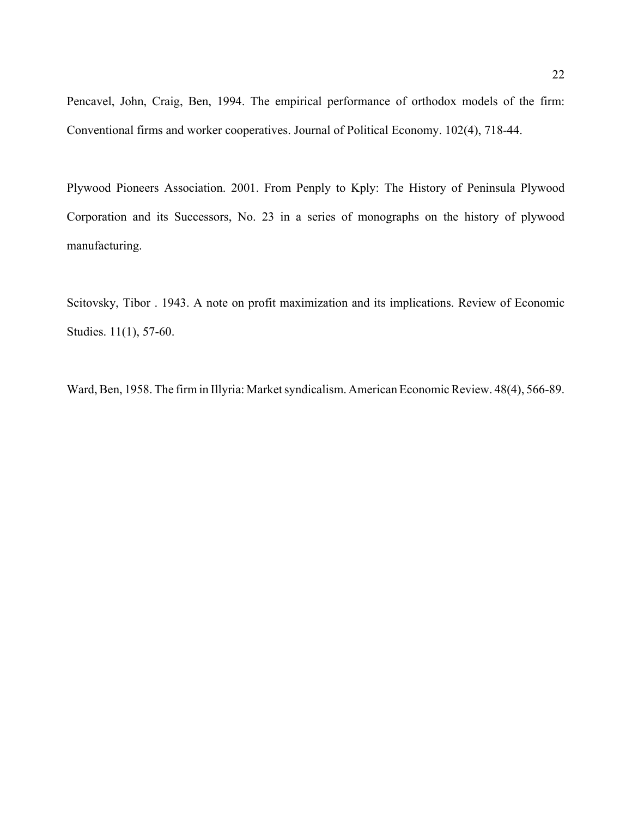Pencavel, John, Craig, Ben, 1994. The empirical performance of orthodox models of the firm: Conventional firms and worker cooperatives. Journal of Political Economy. 102(4), 718-44.

Plywood Pioneers Association. 2001. From Penply to Kply: The History of Peninsula Plywood Corporation and its Successors, No. 23 in a series of monographs on the history of plywood manufacturing.

Scitovsky, Tibor . 1943. A note on profit maximization and its implications. Review of Economic Studies. 11(1), 57-60.

Ward, Ben, 1958. The firm in Illyria: Market syndicalism. American Economic Review. 48(4), 566-89.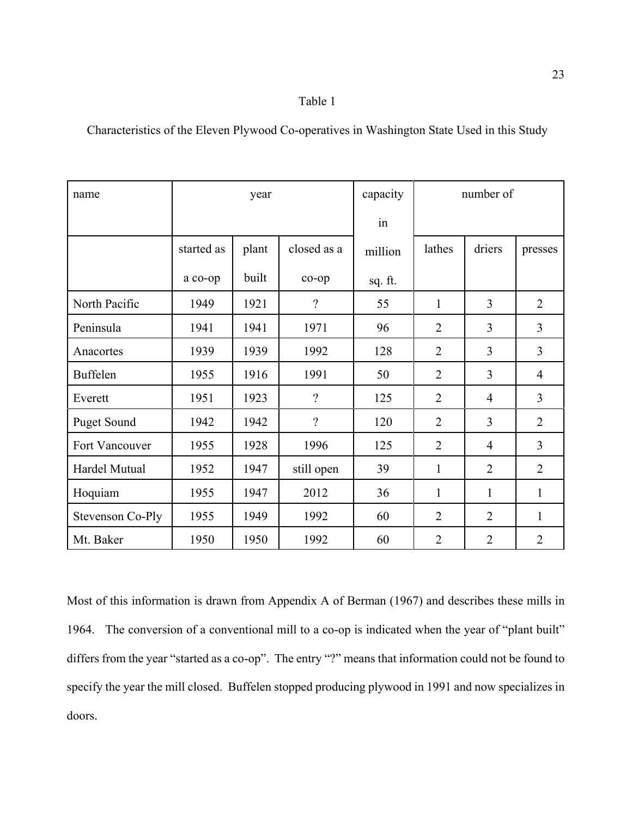Characteristics of the Eleven Plywood Co-operatives in Washington State Used in this Study

| name               | year       |       | capacity                 | number of |                |                |                |
|--------------------|------------|-------|--------------------------|-----------|----------------|----------------|----------------|
|                    |            |       |                          | in        |                |                |                |
|                    | started as | plant | closed as a              | million   | lathes         | driers         | presses        |
|                    | a co-op    | built | $co$ - $op$              | sq. ft.   |                |                |                |
| North Pacific      | 1949       | 1921  | $\overline{\mathcal{C}}$ | 55        | $\mathbf{1}$   | $\overline{3}$ | $\overline{2}$ |
| Peninsula          | 1941       | 1941  | 1971                     | 96        | $\overline{2}$ | $\overline{3}$ | $\overline{3}$ |
| Anacortes          | 1939       | 1939  | 1992                     | 128       | $\overline{2}$ | $\overline{3}$ | 3              |
| <b>Buffelen</b>    | 1955       | 1916  | 1991                     | 50        | $\overline{2}$ | $\overline{3}$ | $\overline{4}$ |
| Everett            | 1951       | 1923  | $\gamma$                 | 125       | $\overline{2}$ | $\overline{4}$ | 3              |
| <b>Puget Sound</b> | 1942       | 1942  | $\gamma$                 | 120       | $\overline{2}$ | 3              | $\overline{2}$ |
| Fort Vancouver     | 1955       | 1928  | 1996                     | 125       | $\overline{2}$ | $\overline{4}$ | 3              |
| Hardel Mutual      | 1952       | 1947  | still open               | 39        | $\mathbf{1}$   | $\overline{2}$ | $\overline{2}$ |
| Hoquiam            | 1955       | 1947  | 2012                     | 36        | $\mathbf{1}$   | $\mathbf{1}$   | $\mathbf{1}$   |
| Stevenson Co-Ply   | 1955       | 1949  | 1992                     | 60        | $\overline{2}$ | $\overline{2}$ | $\mathbf{1}$   |
| Mt. Baker          | 1950       | 1950  | 1992                     | 60        | $\overline{2}$ | $\overline{2}$ | $\overline{2}$ |

Most of this information is drawn from Appendix A of Berman (1967) and describes these mills in 1964. The conversion of a conventional mill to a co-op is indicated when the year of "plant built" differs from the year "started as a co-op". The entry "?" means that information could not be found to specify the year the mill closed. Buffelen stopped producing plywood in 1991 and now specializes in doors.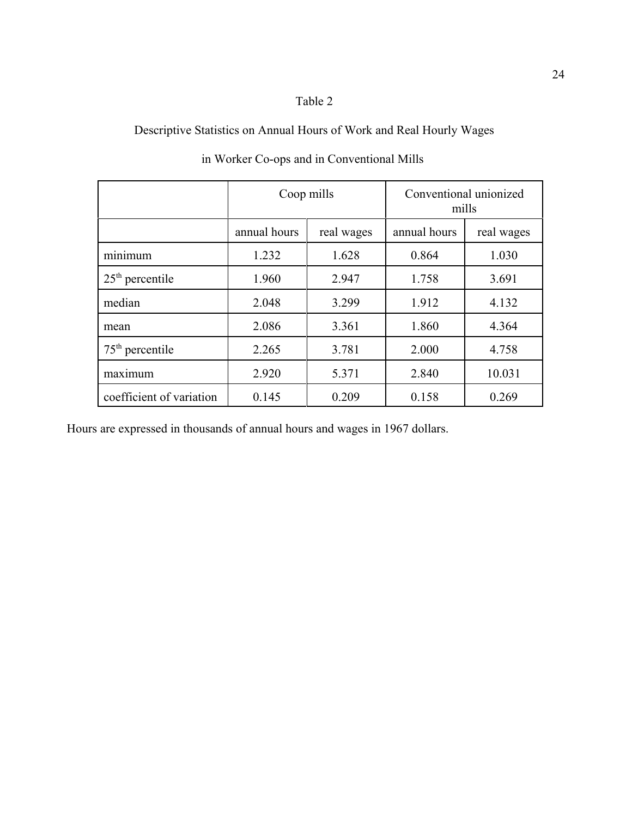## Descriptive Statistics on Annual Hours of Work and Real Hourly Wages

|                          | Coop mills                 |       | Conventional unionized<br>mills |            |  |
|--------------------------|----------------------------|-------|---------------------------------|------------|--|
|                          | annual hours<br>real wages |       | annual hours                    | real wages |  |
| minimum                  | 1.232                      | 1.628 | 0.864                           | 1.030      |  |
| $25th$ percentile        | 1.960                      | 2.947 | 1.758                           | 3.691      |  |
| median                   | 2.048                      | 3.299 | 1.912                           | 4.132      |  |
| mean                     | 2.086                      | 3.361 | 1.860                           | 4.364      |  |
| $75th$ percentile        | 2.265                      | 3.781 | 2.000                           | 4.758      |  |
| maximum                  | 2.920                      | 5.371 | 2.840                           | 10.031     |  |
| coefficient of variation | 0.145                      | 0.209 | 0.158                           | 0.269      |  |

## in Worker Co-ops and in Conventional Mills

Hours are expressed in thousands of annual hours and wages in 1967 dollars.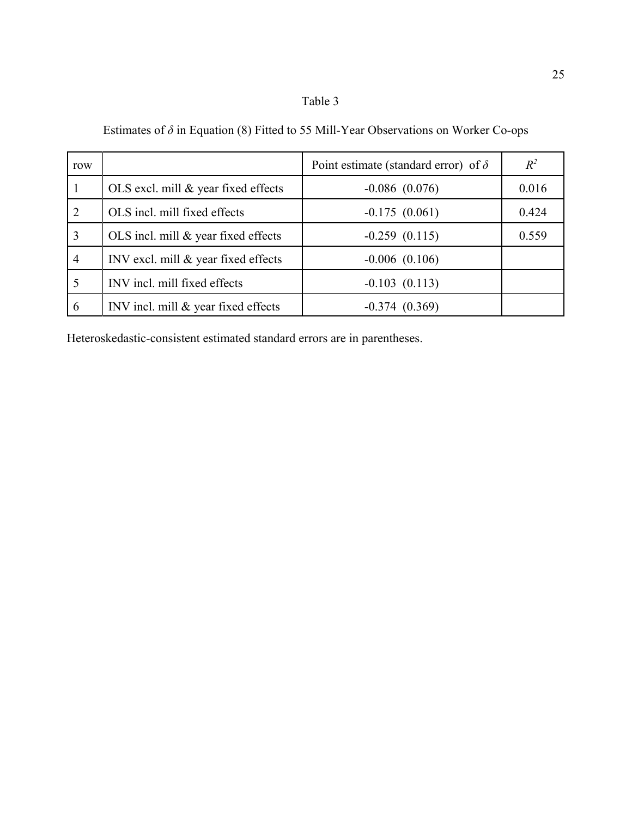| row            |                                        | Point estimate (standard error) of $\delta$ | $R^2$ |
|----------------|----------------------------------------|---------------------------------------------|-------|
|                | OLS excl. mill & year fixed effects    | $-0.086$ $(0.076)$                          | 0.016 |
|                | OLS incl. mill fixed effects           | $-0.175(0.061)$                             | 0.424 |
| 3              | OLS incl. mill $&$ year fixed effects  | $-0.259(0.115)$                             | 0.559 |
| $\overline{4}$ | INV excl. mill & year fixed effects    | $-0.006(0.106)$                             |       |
|                | INV incl. mill fixed effects           | $-0.103(0.113)$                             |       |
| 6              | INV incl. mill $\&$ year fixed effects | $-0.374(0.369)$                             |       |

Estimates of *δ* in Equation (8) Fitted to 55 Mill-Year Observations on Worker Co-ops

Heteroskedastic-consistent estimated standard errors are in parentheses.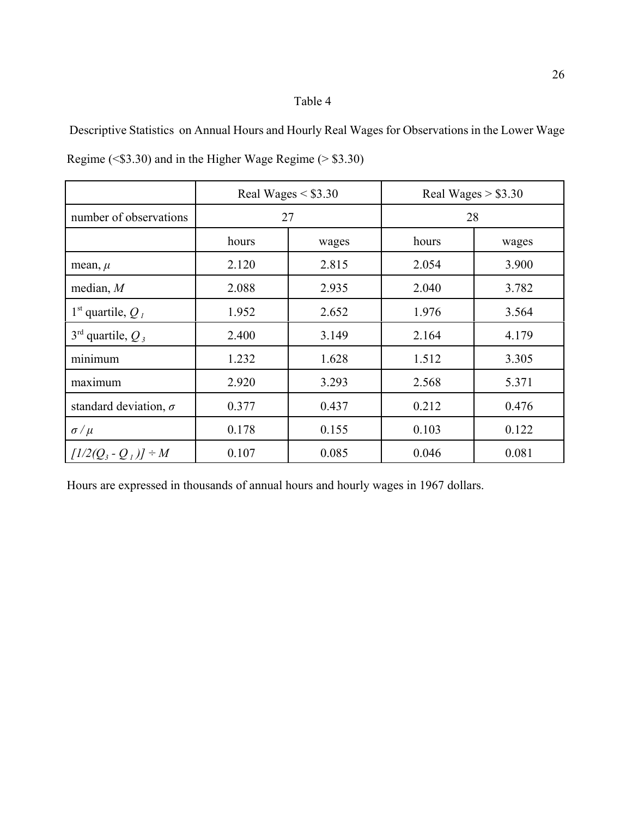Descriptive Statistics on Annual Hours and Hourly Real Wages for Observations in the Lower Wage Regime (<\$3.30) and in the Higher Wage Regime (> \$3.30)

|                                 | Real Wages $\le$ \$3.30 |       | Real Wages $> $3.30$ |       |  |
|---------------------------------|-------------------------|-------|----------------------|-------|--|
| number of observations          | 27                      |       | 28                   |       |  |
|                                 | hours                   | wages |                      | wages |  |
| mean, $\mu$                     | 2.120                   | 2.815 | 2.054                | 3.900 |  |
| median, $M$                     | 2.088                   | 2.935 | 2.040                | 3.782 |  |
| $1st$ quartile, $Q_1$           | 1.952                   | 2.652 | 1.976                | 3.564 |  |
| $3^{\text{rd}}$ quartile, $Q_3$ | 2.400                   | 3.149 | 2.164                | 4.179 |  |
| minimum                         | 1.232                   | 1.628 | 1.512                | 3.305 |  |
| maximum                         | 2.920                   | 3.293 | 2.568                | 5.371 |  |
| standard deviation, $\sigma$    | 0.377                   | 0.437 | 0.212                | 0.476 |  |
| $\sigma/\mu$                    | 0.178                   | 0.155 | 0.103                | 0.122 |  |
| $[1/2(Q_3 - Q_1)] \div M$       | 0.107                   | 0.085 | 0.046                | 0.081 |  |

Hours are expressed in thousands of annual hours and hourly wages in 1967 dollars.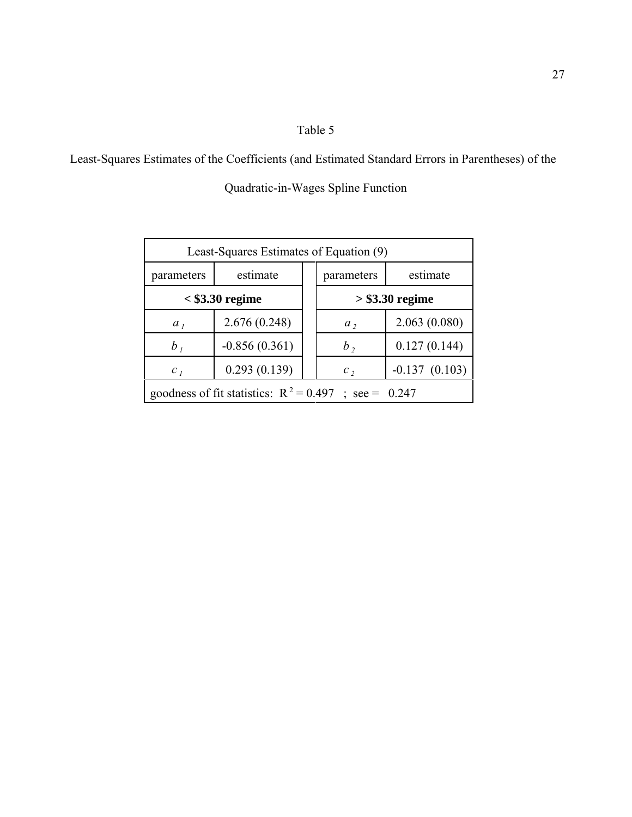Least-Squares Estimates of the Coefficients (and Estimated Standard Errors in Parentheses) of the

| Least-Squares Estimates of Equation (9)                 |                                    |  |                   |              |  |  |
|---------------------------------------------------------|------------------------------------|--|-------------------|--------------|--|--|
| parameters                                              | estimate<br>estimate<br>parameters |  |                   |              |  |  |
|                                                         | $<$ \$3.30 regime                  |  | $>$ \$3.30 regime |              |  |  |
| a <sub>1</sub>                                          | 2.676(0.248)                       |  | a,                | 2.063(0.080) |  |  |
| b <sub>i</sub>                                          | $-0.856(0.361)$                    |  | b,                | 0.127(0.144) |  |  |
| 0.293(0.139)<br>$-0.137(0.103)$<br>c <sub>1</sub><br>c, |                                    |  |                   |              |  |  |
| goodness of fit statistics: $R^2 = 0.497$ ; see = 0.247 |                                    |  |                   |              |  |  |

Quadratic-in-Wages Spline Function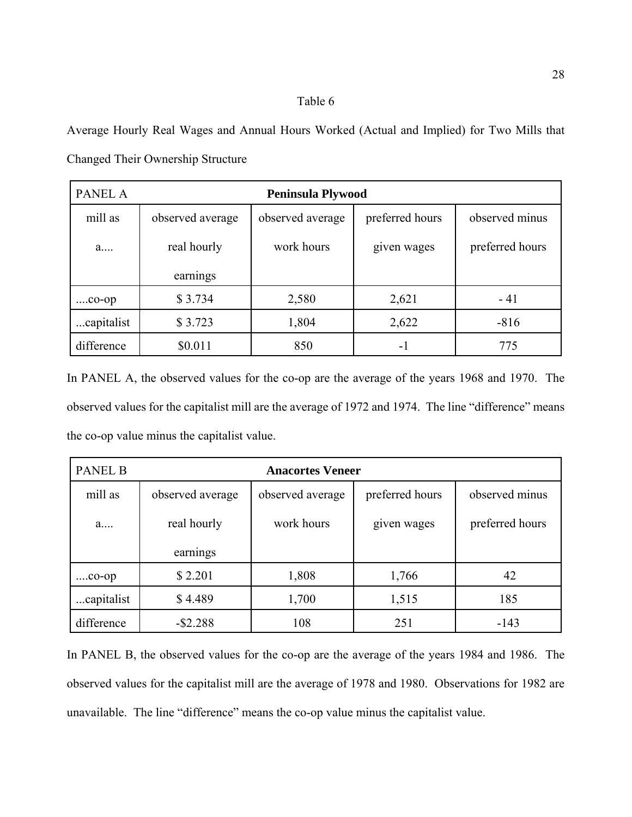PANEL A **Peninsula Plywood** mill as a.... observed average real hourly earnings observed average work hours preferred hours given wages observed minus preferred hours ....co-op | \$3.734 | 2,580 | 2,621 | -41 ...capitalist | \$3.723 | 1,804 | 2,622 | -816 difference \$0.011 850 -1 775

Average Hourly Real Wages and Annual Hours Worked (Actual and Implied) for Two Mills that Changed Their Ownership Structure

In PANEL A, the observed values for the co-op are the average of the years 1968 and 1970. The observed values for the capitalist mill are the average of 1972 and 1974. The line "difference" means the co-op value minus the capitalist value.

| <b>PANEL B</b> | <b>Anacortes Veneer</b> |                  |                 |                 |  |  |
|----------------|-------------------------|------------------|-----------------|-----------------|--|--|
| mill as        | observed average        | observed average | preferred hours | observed minus  |  |  |
| a              | real hourly             | work hours       | given wages     | preferred hours |  |  |
|                | earnings                |                  |                 |                 |  |  |
| $$ co-op       | \$2.201                 | 1,808            | 1,766           | 42              |  |  |
| capitalist     | \$4.489                 | 1,700            | 1,515           | 185             |  |  |
| difference     | $-$ \$2.288             | 108              | 251             | $-143$          |  |  |

In PANEL B, the observed values for the co-op are the average of the years 1984 and 1986. The observed values for the capitalist mill are the average of 1978 and 1980. Observations for 1982 are unavailable. The line "difference" means the co-op value minus the capitalist value.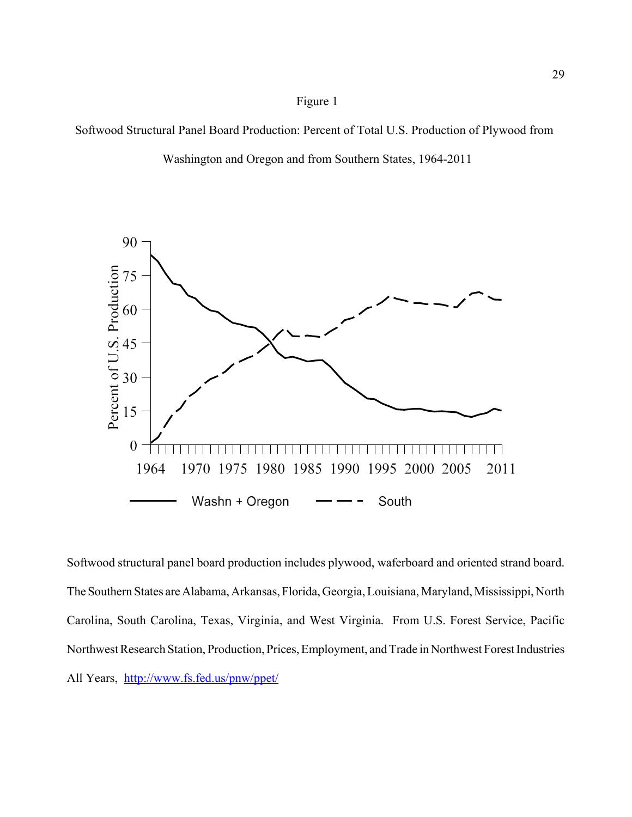Softwood Structural Panel Board Production: Percent of Total U.S. Production of Plywood from





Softwood structural panel board production includes plywood, waferboard and oriented strand board. The Southern States are Alabama, Arkansas, Florida, Georgia, Louisiana, Maryland, Mississippi, North Carolina, South Carolina, Texas, Virginia, and West Virginia. From U.S. Forest Service, Pacific Northwest Research Station, Production, Prices, Employment, and Trade in Northwest Forest Industries All Years, http://www.fs.fed.us/pnw/ppet/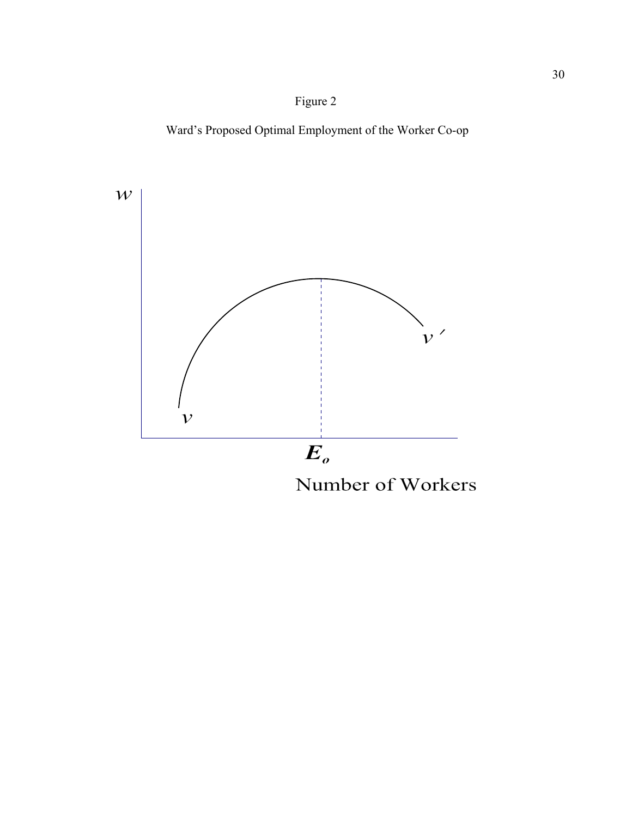

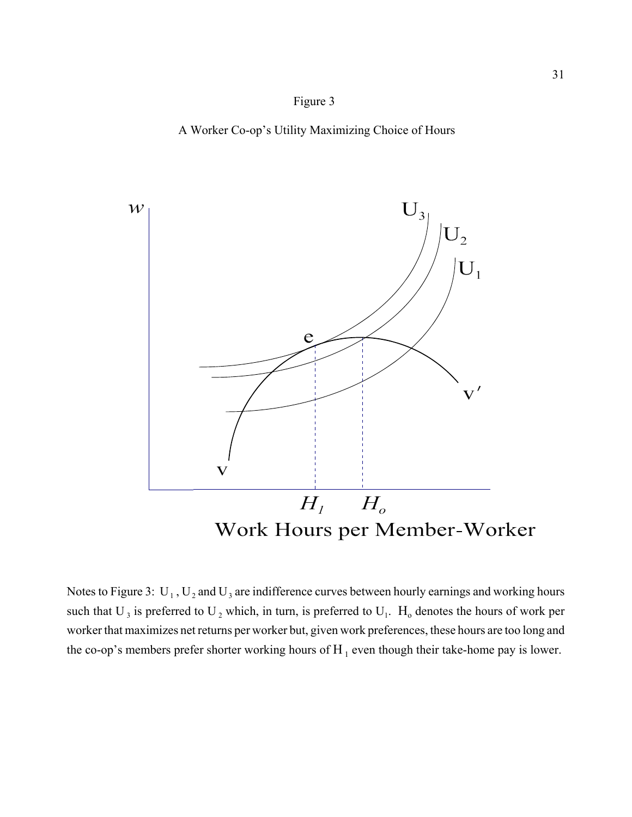



Notes to Figure 3:  $U_1$ ,  $U_2$  and  $U_3$  are indifference curves between hourly earnings and working hours such that  $U_3$  is preferred to  $U_2$  which, in turn, is preferred to  $U_1$ .  $H_0$  denotes the hours of work per worker that maximizes net returns per worker but, given work preferences, these hours are too long and the co-op's members prefer shorter working hours of H<sub>1</sub> even though their take-home pay is lower.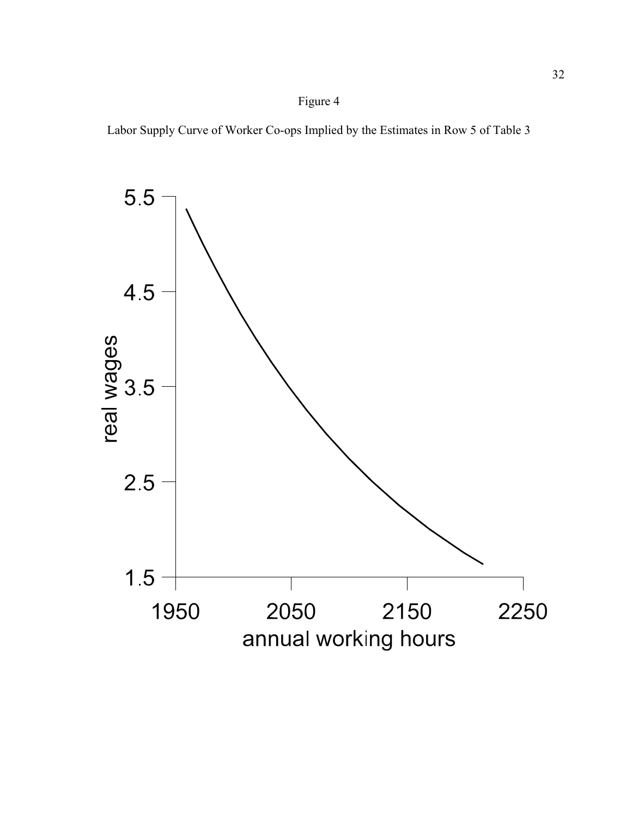

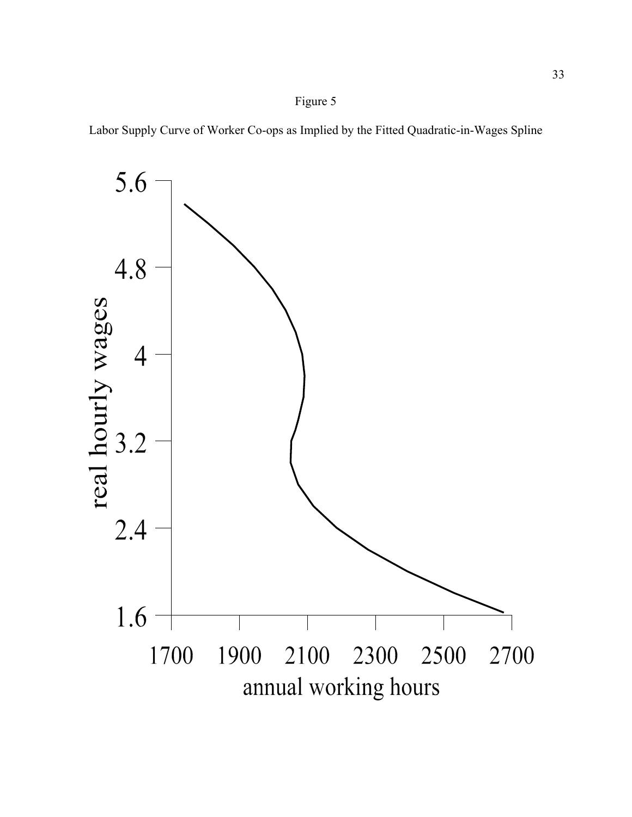

Labor Supply Curve of Worker Co-ops as Implied by the Fitted Quadratic-in-Wages Spline

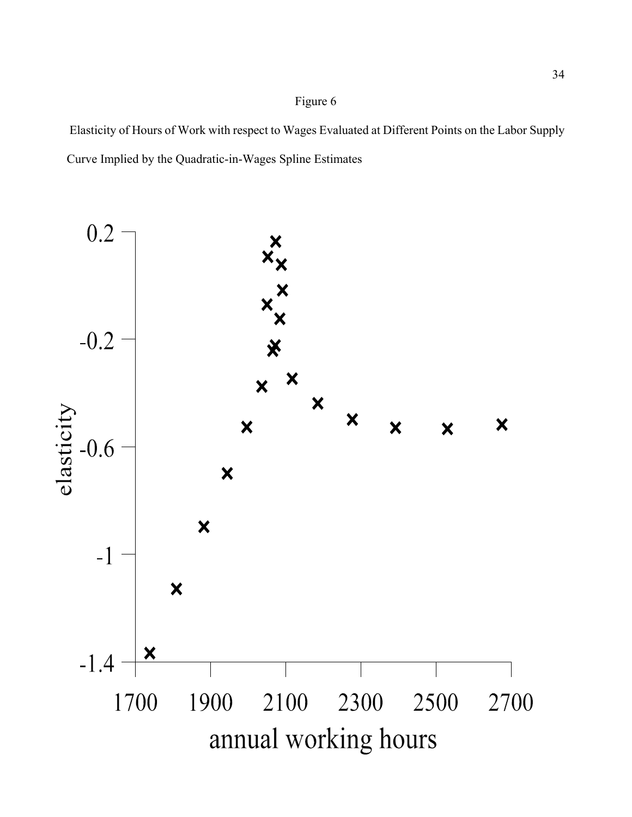Elasticity of Hours of Work with respect to Wages Evaluated at Different Points on the Labor Supply Curve Implied by the Quadratic-in-Wages Spline Estimates